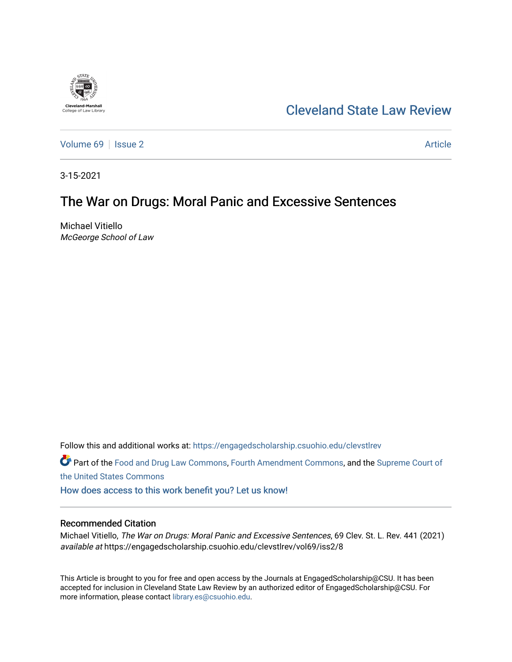

# [Cleveland State Law Review](https://engagedscholarship.csuohio.edu/clevstlrev)

[Volume 69](https://engagedscholarship.csuohio.edu/clevstlrev/vol69) | [Issue 2](https://engagedscholarship.csuohio.edu/clevstlrev/vol69/iss2) Article

3-15-2021

# The War on Drugs: Moral Panic and Excessive Sentences

Michael Vitiello McGeorge School of Law

Follow this and additional works at: [https://engagedscholarship.csuohio.edu/clevstlrev](https://engagedscholarship.csuohio.edu/clevstlrev?utm_source=engagedscholarship.csuohio.edu%2Fclevstlrev%2Fvol69%2Fiss2%2F8&utm_medium=PDF&utm_campaign=PDFCoverPages)

Part of the [Food and Drug Law Commons,](http://network.bepress.com/hgg/discipline/844?utm_source=engagedscholarship.csuohio.edu%2Fclevstlrev%2Fvol69%2Fiss2%2F8&utm_medium=PDF&utm_campaign=PDFCoverPages) [Fourth Amendment Commons,](http://network.bepress.com/hgg/discipline/1180?utm_source=engagedscholarship.csuohio.edu%2Fclevstlrev%2Fvol69%2Fiss2%2F8&utm_medium=PDF&utm_campaign=PDFCoverPages) and the [Supreme Court of](http://network.bepress.com/hgg/discipline/1350?utm_source=engagedscholarship.csuohio.edu%2Fclevstlrev%2Fvol69%2Fiss2%2F8&utm_medium=PDF&utm_campaign=PDFCoverPages) [the United States Commons](http://network.bepress.com/hgg/discipline/1350?utm_source=engagedscholarship.csuohio.edu%2Fclevstlrev%2Fvol69%2Fiss2%2F8&utm_medium=PDF&utm_campaign=PDFCoverPages) 

[How does access to this work benefit you? Let us know!](http://library.csuohio.edu/engaged/)

## Recommended Citation

Michael Vitiello, The War on Drugs: Moral Panic and Excessive Sentences, 69 Clev. St. L. Rev. 441 (2021) available at https://engagedscholarship.csuohio.edu/clevstlrev/vol69/iss2/8

This Article is brought to you for free and open access by the Journals at EngagedScholarship@CSU. It has been accepted for inclusion in Cleveland State Law Review by an authorized editor of EngagedScholarship@CSU. For more information, please contact [library.es@csuohio.edu](mailto:library.es@csuohio.edu).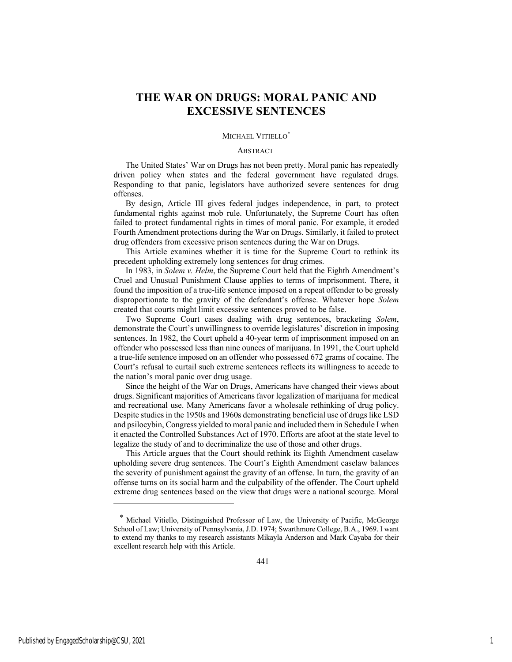# **THE WAR ON DRUGS: MORAL PANIC AND EXCESSIVE SENTENCES**

#### MICHAEL VITIELLO<sup>\*</sup>

#### **ABSTRACT**

The United States' War on Drugs has not been pretty. Moral panic has repeatedly driven policy when states and the federal government have regulated drugs. Responding to that panic, legislators have authorized severe sentences for drug offenses.

By design, Article III gives federal judges independence, in part, to protect fundamental rights against mob rule. Unfortunately, the Supreme Court has often failed to protect fundamental rights in times of moral panic. For example, it eroded Fourth Amendment protections during the War on Drugs. Similarly, it failed to protect drug offenders from excessive prison sentences during the War on Drugs.

This Article examines whether it is time for the Supreme Court to rethink its precedent upholding extremely long sentences for drug crimes.

In 1983, in *Solem v. Helm*, the Supreme Court held that the Eighth Amendment's Cruel and Unusual Punishment Clause applies to terms of imprisonment. There, it found the imposition of a true-life sentence imposed on a repeat offender to be grossly disproportionate to the gravity of the defendant's offense. Whatever hope *Solem* created that courts might limit excessive sentences proved to be false.

Two Supreme Court cases dealing with drug sentences, bracketing *Solem*, demonstrate the Court's unwillingness to override legislatures' discretion in imposing sentences. In 1982, the Court upheld a 40-year term of imprisonment imposed on an offender who possessed less than nine ounces of marijuana. In 1991, the Court upheld a true-life sentence imposed on an offender who possessed 672 grams of cocaine. The Court's refusal to curtail such extreme sentences reflects its willingness to accede to the nation's moral panic over drug usage.

Since the height of the War on Drugs, Americans have changed their views about drugs. Significant majorities of Americans favor legalization of marijuana for medical and recreational use. Many Americans favor a wholesale rethinking of drug policy. Despite studies in the 1950s and 1960s demonstrating beneficial use of drugs like LSD and psilocybin, Congress yielded to moral panic and included them in Schedule I when it enacted the Controlled Substances Act of 1970. Efforts are afoot at the state level to legalize the study of and to decriminalize the use of those and other drugs.

This Article argues that the Court should rethink its Eighth Amendment caselaw upholding severe drug sentences. The Court's Eighth Amendment caselaw balances the severity of punishment against the gravity of an offense. In turn, the gravity of an offense turns on its social harm and the culpability of the offender. The Court upheld extreme drug sentences based on the view that drugs were a national scourge. Moral

<sup>\*</sup> Michael Vitiello, Distinguished Professor of Law, the University of Pacific, McGeorge School of Law; University of Pennsylvania, J.D. 1974; Swarthmore College, B.A., 1969. I want to extend my thanks to my research assistants Mikayla Anderson and Mark Cayaba for their excellent research help with this Article.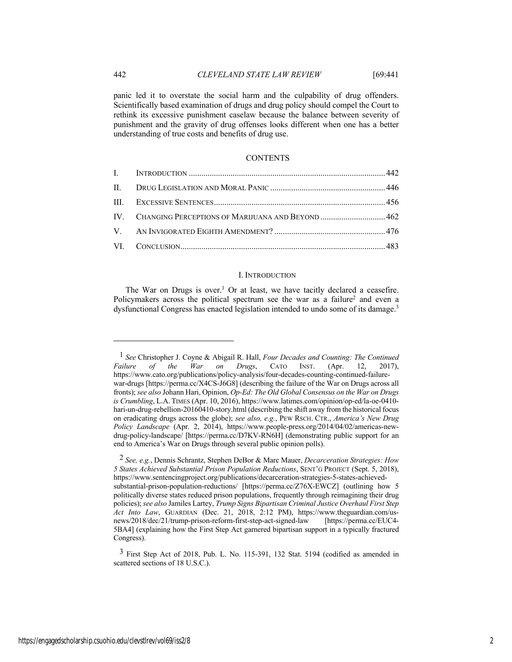panic led it to overstate the social harm and the culpability of drug offenders. Scientifically based examination of drugs and drug policy should compel the Court to rethink its excessive punishment caselaw because the balance between severity of punishment and the gravity of drug offenses looks different when one has a better understanding of true costs and benefits of drug use.

#### **CONTENTS**

| IV. CHANGING PERCEPTIONS OF MARIJUANA AND BEYOND  462 |  |
|-------------------------------------------------------|--|
|                                                       |  |
|                                                       |  |

#### I. INTRODUCTION

The War on Drugs is over.<sup>1</sup> Or at least, we have tacitly declared a ceasefire. Policymakers across the political spectrum see the war as a failure<sup>2</sup> and even a dysfunctional Congress has enacted legislation intended to undo some of its damage.<sup>3</sup>

<sup>1</sup> *See* Christopher J. Coyne & Abigail R. Hall, *Four Decades and Counting: The Continued Failure of the War on Drugs*, CATO INST. (Apr. 12, 2017), https://www.cato.org/publications/policy-analysis/four-decades-counting-continued-failurewar-drugs [https://perma.cc/X4CS-J6G8] (describing the failure of the War on Drugs across all fronts); *see also* Johann Hari, Opinion, *Op-Ed: The Old Global Consensus on the War on Drugs is Crumbling*, L.A. TIMES (Apr. 10, 2016), https://www.latimes.com/opinion/op-ed/la-oe-0410 hari-un-drug-rebellion-20160410-story.html (describing the shift away from the historical focus on eradicating drugs across the globe); *see also, e.g.*, PEW RSCH. CTR., *America's New Drug Policy Landscape* (Apr. 2, 2014), https://www.people-press.org/2014/04/02/americas-newdrug-policy-landscape/ [https://perma.cc/D7KV-RN6H] (demonstrating public support for an end to America's War on Drugs through several public opinion polls).

<sup>2</sup> *See, e.g.*, Dennis Schrantz, Stephen DeBor & Marc Mauer, *Decarceration Strategies: How 5 States Achieved Substantial Prison Population Reductions*, SENT'G PROJECT (Sept. 5, 2018), https://www.sentencingproject.org/publications/decarceration-strategies-5-states-achievedsubstantial-prison-population-reductions/ [https://perma.cc/Z76X-EWCZ] (outlining how 5 politically diverse states reduced prison populations, frequently through reimagining their drug policies); *see also* Jamiles Lartey, *Trump Signs Bipartisan Criminal Justice Overhaul First Step Act Into Law*, GUARDIAN (Dec. 21, 2018, 2:12 PM), https://www.theguardian.com/usnews/2018/dec/21/trump-prison-reform-first-step-act-signed-law [https://perma.cc/EUC4- 5BA4] (explaining how the First Step Act garnered bipartisan support in a typically fractured Congress).

 $3$  First Step Act of 2018, Pub. L. No. 115-391, 132 Stat. 5194 (codified as amended in scattered sections of 18 U.S.C.).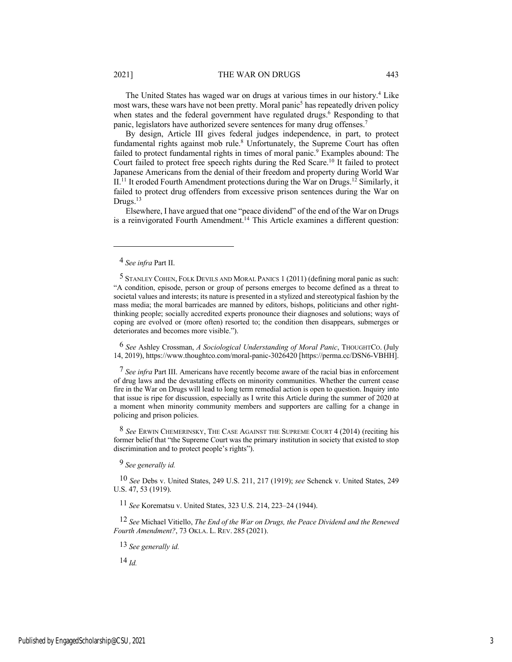#### 2021] THE WAR ON DRUGS 443

The United States has waged war on drugs at various times in our history.4 Like most wars, these wars have not been pretty. Moral panic<sup>5</sup> has repeatedly driven policy when states and the federal government have regulated drugs.<sup>6</sup> Responding to that panic, legislators have authorized severe sentences for many drug offenses.<sup>7</sup>

By design, Article III gives federal judges independence, in part, to protect fundamental rights against mob rule.<sup>8</sup> Unfortunately, the Supreme Court has often failed to protect fundamental rights in times of moral panic.<sup>9</sup> Examples abound: The Court failed to protect free speech rights during the Red Scare.10 It failed to protect Japanese Americans from the denial of their freedom and property during World War II.<sup>11</sup> It eroded Fourth Amendment protections during the War on Drugs.<sup>12</sup> Similarly, it failed to protect drug offenders from excessive prison sentences during the War on Drugs.<sup>13</sup>

Elsewhere, I have argued that one "peace dividend" of the end of the War on Drugs is a reinvigorated Fourth Amendment.<sup>14</sup> This Article examines a different question:

6 *See* Ashley Crossman, *A Sociological Understanding of Moral Panic*, THOUGHTCO. (July 14, 2019), https://www.thoughtco.com/moral-panic-3026420 [https://perma.cc/DSN6-VBHH].

7 *See infra* Part III. Americans have recently become aware of the racial bias in enforcement of drug laws and the devastating effects on minority communities. Whether the current cease fire in the War on Drugs will lead to long term remedial action is open to question. Inquiry into that issue is ripe for discussion, especially as I write this Article during the summer of 2020 at a moment when minority community members and supporters are calling for a change in policing and prison policies.

8 *See* ERWIN CHEMERINSKY, THE CASE AGAINST THE SUPREME COURT 4 (2014) (reciting his former belief that "the Supreme Court was the primary institution in society that existed to stop discrimination and to protect people's rights").

9 *See generally id.*

10 *See* Debs v. United States, 249 U.S. 211, 217 (1919); *see* Schenck v. United States, 249 U.S. 47, 53 (1919).

11 *See* Korematsu v. United States, 323 U.S. 214, 223–24 (1944).

12 *See* Michael Vitiello, *The End of the War on Drugs, the Peace Dividend and the Renewed Fourth Amendment?*, 73 OKLA. L. REV. 285 (2021).

13 *See generally id.*

14 *Id.*

<sup>4</sup> *See infra* Part II.

<sup>5</sup> STANLEY COHEN, FOLK DEVILS AND MORAL PANICS 1 (2011) (defining moral panic as such: "A condition, episode, person or group of persons emerges to become defined as a threat to societal values and interests; its nature is presented in a stylized and stereotypical fashion by the mass media; the moral barricades are manned by editors, bishops, politicians and other rightthinking people; socially accredited experts pronounce their diagnoses and solutions; ways of coping are evolved or (more often) resorted to; the condition then disappears, submerges or deteriorates and becomes more visible.").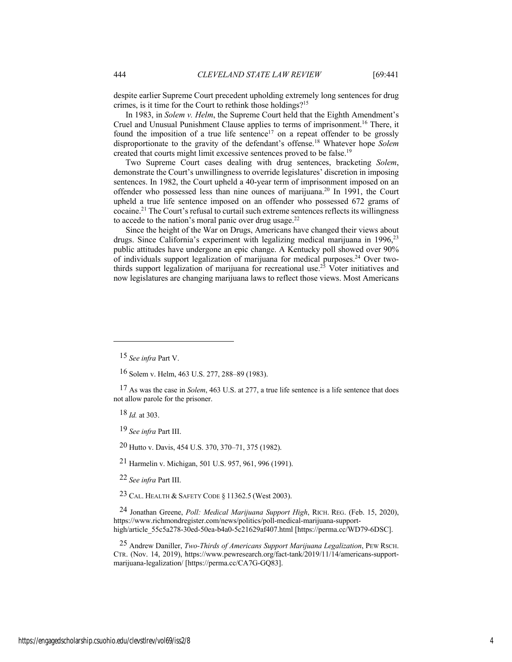despite earlier Supreme Court precedent upholding extremely long sentences for drug crimes, is it time for the Court to rethink those holdings?15

In 1983, in *Solem v. Helm*, the Supreme Court held that the Eighth Amendment's Cruel and Unusual Punishment Clause applies to terms of imprisonment.16 There, it found the imposition of a true life sentence<sup>17</sup> on a repeat offender to be grossly disproportionate to the gravity of the defendant's offense.18 Whatever hope *Solem* created that courts might limit excessive sentences proved to be false.19

Two Supreme Court cases dealing with drug sentences, bracketing *Solem*, demonstrate the Court's unwillingness to override legislatures' discretion in imposing sentences. In 1982, the Court upheld a 40-year term of imprisonment imposed on an offender who possessed less than nine ounces of marijuana.20 In 1991, the Court upheld a true life sentence imposed on an offender who possessed 672 grams of cocaine.21 The Court's refusal to curtail such extreme sentences reflects its willingness to accede to the nation's moral panic over drug usage. $22$ 

Since the height of the War on Drugs, Americans have changed their views about drugs. Since California's experiment with legalizing medical marijuana in 1996,<sup>23</sup> public attitudes have undergone an epic change. A Kentucky poll showed over 90% of individuals support legalization of marijuana for medical purposes.<sup>24</sup> Over twothirds support legalization of marijuana for recreational use.25 Voter initiatives and now legislatures are changing marijuana laws to reflect those views. Most Americans

18 *Id.* at 303.

19 *See infra* Part III.

20 Hutto v. Davis, 454 U.S. 370, 370–71, 375 (1982).

21 Harmelin v. Michigan, 501 U.S. 957, 961, 996 (1991).

22 *See infra* Part III.

23 CAL. HEALTH & SAFETY CODE § 11362.5 (West 2003).

24 Jonathan Greene, *Poll: Medical Marijuana Support High*, RICH. REG. (Feb. 15, 2020), https://www.richmondregister.com/news/politics/poll-medical-marijuana-supporthigh/article\_55c5a278-30ed-50ea-b4a0-5c21629af407.html [https://perma.cc/WD79-6DSC].

25 Andrew Daniller, *Two-Thirds of Americans Support Marijuana Legalization*, PEW RSCH. CTR. (Nov. 14, 2019), https://www.pewresearch.org/fact-tank/2019/11/14/americans-supportmarijuana-legalization/ [https://perma.cc/CA7G-GQ83].

<sup>15</sup> *See infra* Part V.

<sup>16</sup> Solem v. Helm, 463 U.S. 277, 288–89 (1983).

<sup>17</sup> As was the case in *Solem*, 463 U.S. at 277, a true life sentence is a life sentence that does not allow parole for the prisoner.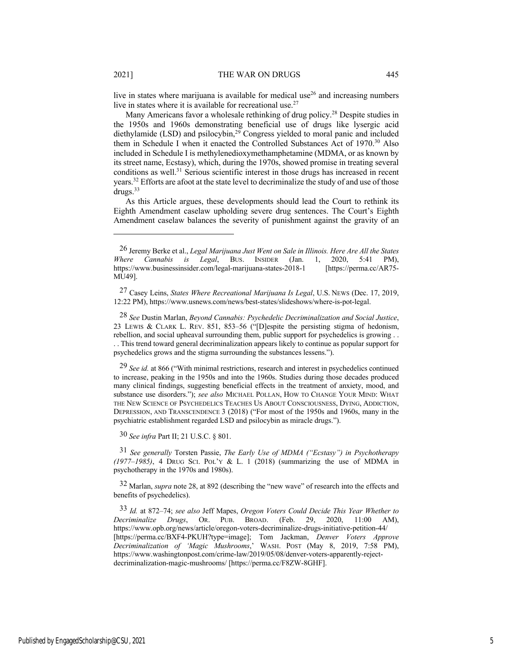live in states where marijuana is available for medical use<sup>26</sup> and increasing numbers live in states where it is available for recreational use. $27$ 

Many Americans favor a wholesale rethinking of drug policy.<sup>28</sup> Despite studies in the 1950s and 1960s demonstrating beneficial use of drugs like lysergic acid diethylamide (LSD) and psilocybin,<sup>29</sup> Congress yielded to moral panic and included them in Schedule I when it enacted the Controlled Substances Act of 1970.30 Also included in Schedule I is methylenedioxymethamphetamine (MDMA, or as known by its street name, Ecstasy), which, during the 1970s, showed promise in treating several conditions as well. $31$  Serious scientific interest in those drugs has increased in recent years.32 Efforts are afoot at the state level to decriminalize the study of and use of those drugs.33

As this Article argues, these developments should lead the Court to rethink its Eighth Amendment caselaw upholding severe drug sentences. The Court's Eighth Amendment caselaw balances the severity of punishment against the gravity of an

28 *See* Dustin Marlan, *Beyond Cannabis: Psychedelic Decriminalization and Social Justice*, 23 LEWIS & CLARK L. REV. 851, 853–56 ("[D]espite the persisting stigma of hedonism, rebellion, and social upheaval surrounding them, public support for psychedelics is growing . .

. . This trend toward general decriminalization appears likely to continue as popular support for psychedelics grows and the stigma surrounding the substances lessens.").

29 *See id.* at 866 ("With minimal restrictions, research and interest in psychedelics continued to increase, peaking in the 1950s and into the 1960s. Studies during those decades produced many clinical findings, suggesting beneficial effects in the treatment of anxiety, mood, and substance use disorders."); *see also* MICHAEL POLLAN, HOW TO CHANGE YOUR MIND: WHAT THE NEW SCIENCE OF PSYCHEDELICS TEACHES US ABOUT CONSCIOUSNESS, DYING, ADDICTION, DEPRESSION, AND TRANSCENDENCE 3 (2018) ("For most of the 1950s and 1960s, many in the psychiatric establishment regarded LSD and psilocybin as miracle drugs.").

30 *See infra* Part II; 21 U.S.C. § 801.

31 *See generally* Torsten Passie, *The Early Use of MDMA ("Ecstasy") in Psychotherapy (1977–1985)*, 4 DRUG SCI. POL'Y & L. 1 (2018) (summarizing the use of MDMA in psychotherapy in the 1970s and 1980s).

32 Marlan, *supra* note 28, at 892 (describing the "new wave" of research into the effects and benefits of psychedelics).

33 *Id.* at 872–74; *see also* Jeff Mapes, *Oregon Voters Could Decide This Year Whether to Decriminalize Drugs*, OR. PUB. BROAD. (Feb. 29, 2020, 11:00 AM), https://www.opb.org/news/article/oregon-voters-decriminalize-drugs-initiative-petition-44/ [https://perma.cc/BXF4-PKUH?type=image]; Tom Jackman, *Denver Voters Approve Decriminalization of 'Magic Mushrooms*,' WASH. POST (May 8, 2019, 7:58 PM), https://www.washingtonpost.com/crime-law/2019/05/08/denver-voters-apparently-rejectdecriminalization-magic-mushrooms/ [https://perma.cc/F8ZW-8GHF].

<sup>26</sup> Jeremy Berke et al., *Legal Marijuana Just Went on Sale in Illinois. Here Are All the States Where Cannabis is Legal*, BUS. INSIDER (Jan. 1, 2020, 5:41 PM), https://www.businessinsider.com/legal-marijuana-states-2018-1 MU49].

<sup>27</sup> Casey Leins, *States Where Recreational Marijuana Is Legal*, U.S. NEWS (Dec. 17, 2019, 12:22 PM), https://www.usnews.com/news/best-states/slideshows/where-is-pot-legal.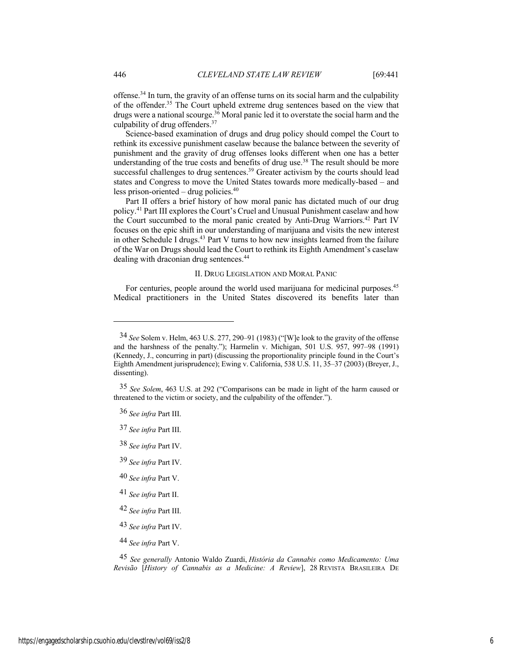offense.34 In turn, the gravity of an offense turns on its social harm and the culpability of the offender.35 The Court upheld extreme drug sentences based on the view that drugs were a national scourge.<sup>36</sup> Moral panic led it to overstate the social harm and the culpability of drug offenders.37

Science-based examination of drugs and drug policy should compel the Court to rethink its excessive punishment caselaw because the balance between the severity of punishment and the gravity of drug offenses looks different when one has a better understanding of the true costs and benefits of drug use.<sup>38</sup> The result should be more successful challenges to drug sentences.<sup>39</sup> Greater activism by the courts should lead states and Congress to move the United States towards more medically-based – and less prison-oriented – drug policies. $40$ 

Part II offers a brief history of how moral panic has dictated much of our drug policy.41 Part III explores the Court's Cruel and Unusual Punishment caselaw and how the Court succumbed to the moral panic created by Anti-Drug Warriors.<sup>42</sup> Part IV focuses on the epic shift in our understanding of marijuana and visits the new interest in other Schedule I drugs.<sup>43</sup> Part V turns to how new insights learned from the failure of the War on Drugs should lead the Court to rethink its Eighth Amendment's caselaw dealing with draconian drug sentences.<sup>44</sup>

#### II. DRUG LEGISLATION AND MORAL PANIC

For centuries, people around the world used marijuana for medicinal purposes.<sup>45</sup> Medical practitioners in the United States discovered its benefits later than

44 *See infra* Part V.

45 *See generally* Antonio Waldo Zuardi, *História da Cannabis como Medicamento: Uma Revisão* [*History of Cannabis as a Medicine: A Review*], 28 REVISTA BRASILEIRA DE

<sup>34</sup> *See* Solem v. Helm, 463 U.S. 277, 290–91 (1983) ("[W]e look to the gravity of the offense and the harshness of the penalty."); Harmelin v. Michigan, 501 U.S. 957, 997–98 (1991) (Kennedy, J., concurring in part) (discussing the proportionality principle found in the Court's Eighth Amendment jurisprudence); Ewing v. California, 538 U.S. 11, 35–37 (2003) (Breyer, J., dissenting).

<sup>35</sup> *See Solem*, 463 U.S. at 292 ("Comparisons can be made in light of the harm caused or threatened to the victim or society, and the culpability of the offender.").

<sup>36</sup> *See infra* Part III.

<sup>37</sup> *See infra* Part III.

<sup>38</sup> *See infra* Part IV.

<sup>39</sup> *See infra* Part IV.

<sup>40</sup> *See infra* Part V.

<sup>41</sup> *See infra* Part II.

<sup>42</sup> *See infra* Part III.

<sup>43</sup> *See infra* Part IV.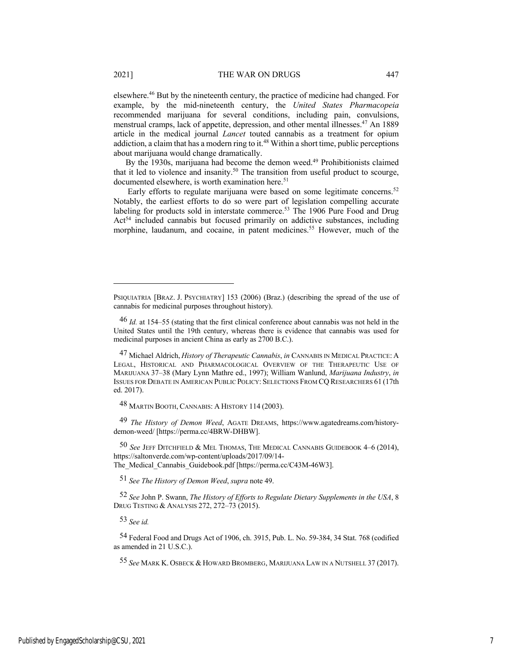elsewhere.46 But by the nineteenth century, the practice of medicine had changed. For example, by the mid-nineteenth century, the *United States Pharmacopeia* recommended marijuana for several conditions, including pain, convulsions, menstrual cramps, lack of appetite, depression, and other mental illnesses.47 An 1889 article in the medical journal *Lancet* touted cannabis as a treatment for opium addiction, a claim that has a modern ring to it.<sup>48</sup> Within a short time, public perceptions about marijuana would change dramatically.

By the 1930s, marijuana had become the demon weed.<sup>49</sup> Prohibitionists claimed that it led to violence and insanity.<sup>50</sup> The transition from useful product to scourge, documented elsewhere, is worth examination here.<sup>51</sup>

Early efforts to regulate marijuana were based on some legitimate concerns.<sup>52</sup> Notably, the earliest efforts to do so were part of legislation compelling accurate labeling for products sold in interstate commerce.<sup>53</sup> The 1906 Pure Food and Drug Act<sup>54</sup> included cannabis but focused primarily on addictive substances, including morphine, laudanum, and cocaine, in patent medicines.<sup>55</sup> However, much of the

48 MARTIN BOOTH, CANNABIS: A HISTORY 114 (2003).

49 *The History of Demon Weed*, AGATE DREAMS, https://www.agatedreams.com/historydemon-weed/ [https://perma.cc/4BRW-DHBW].

50 *See* JEFF DITCHFIELD & MEL THOMAS, THE MEDICAL CANNABIS GUIDEBOOK 4–6 (2014), https://saltonverde.com/wp-content/uploads/2017/09/14- The\_Medical\_Cannabis\_Guidebook.pdf [https://perma.cc/C43M-46W3].

51 *See The History of Demon Weed*, *supra* note 49.

52 *See* John P. Swann, *The History of Efforts to Regulate Dietary Supplements in the USA*, 8 DRUG TESTING & ANALYSIS 272, 272–73 (2015).

53 *See id.*

54 Federal Food and Drugs Act of 1906, ch. 3915, Pub. L. No. 59-384, 34 Stat. 768 (codified as amended in 21 U.S.C.).

55 *See* MARK K. OSBECK & HOWARD BROMBERG, MARIJUANA LAW IN A NUTSHELL 37 (2017).

PSIQUIATRIA [BRAZ. J. PSYCHIATRY] 153 (2006) (Braz.) (describing the spread of the use of cannabis for medicinal purposes throughout history).

<sup>46</sup> *Id.* at 154–55 (stating that the first clinical conference about cannabis was not held in the United States until the 19th century, whereas there is evidence that cannabis was used for medicinal purposes in ancient China as early as 2700 B.C.).

<sup>47</sup> Michael Aldrich, *History of Therapeutic Cannabis*, *in* CANNABIS IN MEDICAL PRACTICE: A LEGAL, HISTORICAL AND PHARMACOLOGICAL OVERVIEW OF THE THERAPEUTIC USE OF MARIJUANA 37–38 (Mary Lynn Mathre ed., 1997); William Wanlund, *Marijuana Industry*, *in* ISSUES FOR DEBATE IN AMERICAN PUBLIC POLICY: SELECTIONS FROM CQ RESEARCHERS 61 (17th ed. 2017).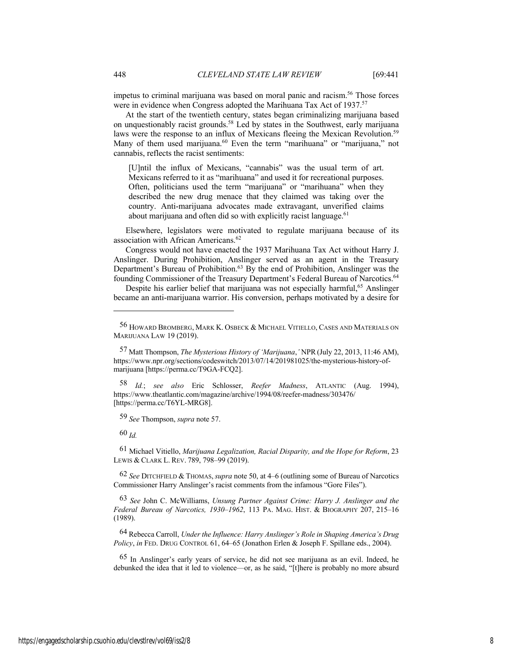impetus to criminal marijuana was based on moral panic and racism.<sup>56</sup> Those forces were in evidence when Congress adopted the Marihuana Tax Act of 1937.<sup>57</sup>

At the start of the twentieth century, states began criminalizing marijuana based on unquestionably racist grounds.58 Led by states in the Southwest, early marijuana laws were the response to an influx of Mexicans fleeing the Mexican Revolution.<sup>59</sup> Many of them used marijuana.<sup>60</sup> Even the term "marihuana" or "marijuana," not cannabis, reflects the racist sentiments:

[U]ntil the influx of Mexicans, "cannabis" was the usual term of art. Mexicans referred to it as "marihuana" and used it for recreational purposes. Often, politicians used the term "marijuana" or "marihuana" when they described the new drug menace that they claimed was taking over the country. Anti-marijuana advocates made extravagant, unverified claims about marijuana and often did so with explicitly racist language. $61$ 

Elsewhere, legislators were motivated to regulate marijuana because of its association with African Americans.<sup>62</sup>

Congress would not have enacted the 1937 Marihuana Tax Act without Harry J. Anslinger. During Prohibition, Anslinger served as an agent in the Treasury Department's Bureau of Prohibition.63 By the end of Prohibition, Anslinger was the founding Commissioner of the Treasury Department's Federal Bureau of Narcotics.<sup>64</sup>

Despite his earlier belief that marijuana was not especially harmful,<sup>65</sup> Anslinger became an anti-marijuana warrior. His conversion, perhaps motivated by a desire for

58 *Id.*; *see also* Eric Schlosser, *Reefer Madness*, ATLANTIC (Aug. 1994), https://www.theatlantic.com/magazine/archive/1994/08/reefer-madness/303476/ [https://perma.cc/T6YL-MRG8].

59 *See* Thompson, *supra* note 57.

60 *Id.*

61 Michael Vitiello, *Marijuana Legalization, Racial Disparity, and the Hope for Reform*, 23 LEWIS & CLARK L. REV. 789, 798–99 (2019).

62 *See* DITCHFIELD & THOMAS,*supra* note 50, at 4–6 (outlining some of Bureau of Narcotics Commissioner Harry Anslinger's racist comments from the infamous "Gore Files").

63 *See* John C. McWilliams, *Unsung Partner Against Crime: Harry J. Anslinger and the Federal Bureau of Narcotics, 1930–1962*, 113 PA. MAG. HIST. & BIOGRAPHY 207, 215–16 (1989).

64 Rebecca Carroll, *Under the Influence: Harry Anslinger's Role in Shaping America's Drug Policy*, *in* FED. DRUG CONTROL 61, 64–65 (Jonathon Erlen & Joseph F. Spillane eds., 2004).

65 In Anslinger's early years of service, he did not see marijuana as an evil. Indeed, he debunked the idea that it led to violence—or, as he said, "[t]here is probably no more absurd

<sup>56</sup> HOWARD BROMBERG, MARK K. OSBECK & MICHAEL VITIELLO, CASES AND MATERIALS ON MARIJUANA LAW 19 (2019).

<sup>57</sup> Matt Thompson, *The Mysterious History of 'Marijuana*,*'* NPR(July 22, 2013, 11:46 AM), https://www.npr.org/sections/codeswitch/2013/07/14/201981025/the-mysterious-history-ofmarijuana [https://perma.cc/T9GA-FCQ2].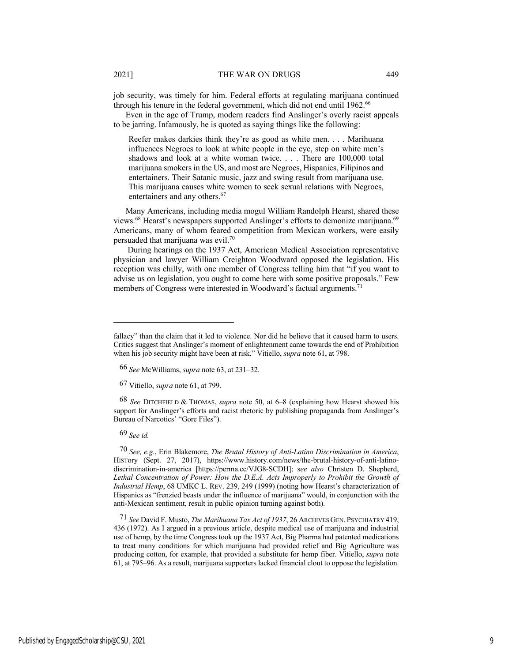job security, was timely for him. Federal efforts at regulating marijuana continued through his tenure in the federal government, which did not end until 1962.<sup>66</sup>

Even in the age of Trump, modern readers find Anslinger's overly racist appeals to be jarring. Infamously, he is quoted as saying things like the following:

Reefer makes darkies think they're as good as white men. . . . Marihuana influences Negroes to look at white people in the eye, step on white men's shadows and look at a white woman twice. . . . There are 100,000 total marijuana smokers in the US, and most are Negroes, Hispanics, Filipinos and entertainers. Their Satanic music, jazz and swing result from marijuana use. This marijuana causes white women to seek sexual relations with Negroes, entertainers and any others.<sup>67</sup>

Many Americans, including media mogul William Randolph Hearst, shared these views.<sup>68</sup> Hearst's newspapers supported Anslinger's efforts to demonize marijuana.<sup>69</sup> Americans, many of whom feared competition from Mexican workers, were easily persuaded that marijuana was evil.<sup>70</sup>

During hearings on the 1937 Act, American Medical Association representative physician and lawyer William Creighton Woodward opposed the legislation. His reception was chilly, with one member of Congress telling him that "if you want to advise us on legislation, you ought to come here with some positive proposals." Few members of Congress were interested in Woodward's factual arguments.<sup>71</sup>

68 *See* DITCHFIELD & THOMAS, *supra* note 50, at 6–8 (explaining how Hearst showed his support for Anslinger's efforts and racist rhetoric by publishing propaganda from Anslinger's Bureau of Narcotics' "Gore Files").

69 *See id.*

70 *See, e.g.*, Erin Blakemore, *The Brutal History of Anti-Latino Discrimination in America*, HISTory (Sept. 27, 2017), https://www.history.com/news/the-brutal-history-of-anti-latinodiscrimination-in-america [https://perma.cc/VJG8-SCDH]; s*ee also* Christen D. Shepherd, Lethal Concentration of Power: How the D.E.A. Acts Improperly to Prohibit the Growth of *Industrial Hemp*, 68 UMKC L. REV. 239, 249 (1999) (noting how Hearst's characterization of Hispanics as "frenzied beasts under the influence of marijuana" would, in conjunction with the anti-Mexican sentiment, result in public opinion turning against both).

71 *See* David F. Musto, *The Marihuana Tax Act of 1937*, 26 ARCHIVES GEN. PSYCHIATRY 419, 436 (1972). As I argued in a previous article, despite medical use of marijuana and industrial use of hemp, by the time Congress took up the 1937 Act, Big Pharma had patented medications to treat many conditions for which marijuana had provided relief and Big Agriculture was producing cotton, for example, that provided a substitute for hemp fiber. Vitiello, *supra* note 61, at 795–96. As a result, marijuana supporters lacked financial clout to oppose the legislation.

fallacy" than the claim that it led to violence. Nor did he believe that it caused harm to users. Critics suggest that Anslinger's moment of enlightenment came towards the end of Prohibition when his job security might have been at risk." Vitiello, *supra* note 61, at 798.

<sup>66</sup> *See* McWilliams, *supra* note 63, at 231–32.

<sup>67</sup> Vitiello, *supra* note 61, at 799.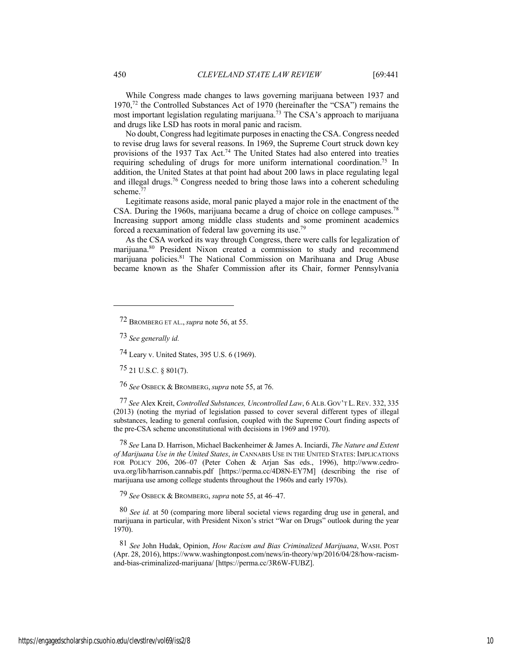While Congress made changes to laws governing marijuana between 1937 and 1970,72 the Controlled Substances Act of 1970 (hereinafter the "CSA") remains the most important legislation regulating marijuana.<sup>73</sup> The CSA's approach to marijuana and drugs like LSD has roots in moral panic and racism.

No doubt, Congress had legitimate purposes in enacting the CSA. Congress needed to revise drug laws for several reasons. In 1969, the Supreme Court struck down key provisions of the 1937 Tax Act.<sup>74</sup> The United States had also entered into treaties requiring scheduling of drugs for more uniform international coordination.<sup>75</sup> In addition, the United States at that point had about 200 laws in place regulating legal and illegal drugs.76 Congress needed to bring those laws into a coherent scheduling scheme.77

Legitimate reasons aside, moral panic played a major role in the enactment of the CSA. During the 1960s, marijuana became a drug of choice on college campuses.78 Increasing support among middle class students and some prominent academics forced a reexamination of federal law governing its use.79

As the CSA worked its way through Congress, there were calls for legalization of marijuana.<sup>80</sup> President Nixon created a commission to study and recommend marijuana policies.<sup>81</sup> The National Commission on Marihuana and Drug Abuse became known as the Shafer Commission after its Chair, former Pennsylvania

73 *See generally id.*

74 Leary v. United States, 395 U.S. 6 (1969).

75 21 U.S.C. § 801(7).

76 *See* OSBECK & BROMBERG,*supra* note 55, at 76.

77 *See* Alex Kreit, *Controlled Substances, Uncontrolled Law*, 6 ALB. GOV'T L. REV. 332, 335 (2013) (noting the myriad of legislation passed to cover several different types of illegal substances, leading to general confusion, coupled with the Supreme Court finding aspects of the pre-CSA scheme unconstitutional with decisions in 1969 and 1970).

78 *See* Lana D. Harrison, Michael Backenheimer & James A. Inciardi, *The Nature and Extent of Marijuana Use in the United States*, *in* CANNABIS USE IN THE UNITED STATES: IMPLICATIONS FOR POLICY 206, 206–07 (Peter Cohen & Arjan Sas eds., 1996), http://www.cedrouva.org/lib/harrison.cannabis.pdf [https://perma.cc/4D8N-EY7M] (describing the rise of marijuana use among college students throughout the 1960s and early 1970s).

79 *See* OSBECK & BROMBERG, *supra* note 55, at 46–47.

80 *See id.* at 50 (comparing more liberal societal views regarding drug use in general, and marijuana in particular, with President Nixon's strict "War on Drugs" outlook during the year 1970).

81 *See* John Hudak, Opinion, *How Racism and Bias Criminalized Marijuana*, WASH. POST (Apr. 28, 2016), https://www.washingtonpost.com/news/in-theory/wp/2016/04/28/how-racismand-bias-criminalized-marijuana/ [https://perma.cc/3R6W-FUBZ].

<sup>72</sup> BROMBERG ET AL.,*supra* note 56, at 55.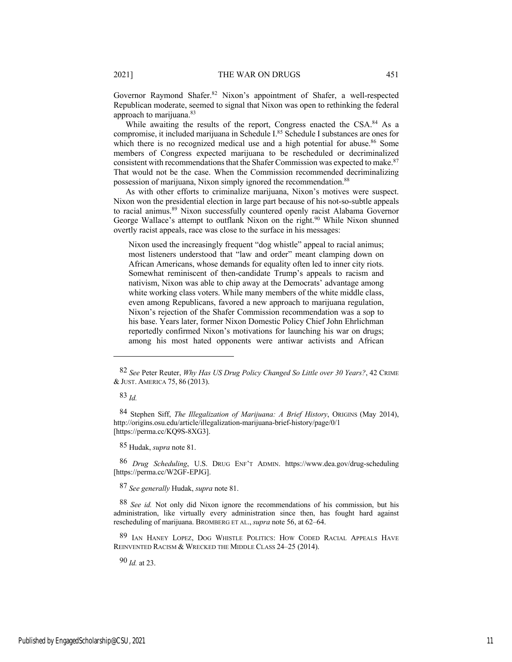Governor Raymond Shafer.<sup>82</sup> Nixon's appointment of Shafer, a well-respected Republican moderate, seemed to signal that Nixon was open to rethinking the federal approach to marijuana.<sup>83</sup>

While awaiting the results of the report, Congress enacted the CSA.<sup>84</sup> As a compromise, it included marijuana in Schedule I.85 Schedule I substances are ones for which there is no recognized medical use and a high potential for abuse.<sup>86</sup> Some members of Congress expected marijuana to be rescheduled or decriminalized consistent with recommendations that the Shafer Commission was expected to make.<sup>87</sup> That would not be the case. When the Commission recommended decriminalizing possession of marijuana, Nixon simply ignored the recommendation.<sup>88</sup>

As with other efforts to criminalize marijuana, Nixon's motives were suspect. Nixon won the presidential election in large part because of his not-so-subtle appeals to racial animus.<sup>89</sup> Nixon successfully countered openly racist Alabama Governor George Wallace's attempt to outflank Nixon on the right.<sup>90</sup> While Nixon shunned overtly racist appeals, race was close to the surface in his messages:

Nixon used the increasingly frequent "dog whistle" appeal to racial animus; most listeners understood that "law and order" meant clamping down on African Americans, whose demands for equality often led to inner city riots. Somewhat reminiscent of then-candidate Trump's appeals to racism and nativism, Nixon was able to chip away at the Democrats' advantage among white working class voters. While many members of the white middle class, even among Republicans, favored a new approach to marijuana regulation, Nixon's rejection of the Shafer Commission recommendation was a sop to his base. Years later, former Nixon Domestic Policy Chief John Ehrlichman reportedly confirmed Nixon's motivations for launching his war on drugs; among his most hated opponents were antiwar activists and African

83 *Id.*

85 Hudak, *supra* note 81.

86 *Drug Scheduling*, U.S. DRUG ENF'T ADMIN. https://www.dea.gov/drug-scheduling [https://perma.cc/W2GF-EPJG].

87 *See generally* Hudak, *supra* note 81.

88 *See id.* Not only did Nixon ignore the recommendations of his commission, but his administration, like virtually every administration since then, has fought hard against rescheduling of marijuana. BROMBERG ET AL.,*supra* note 56, at 62–64.

89 IAN HANEY LOPEZ, DOG WHISTLE POLITICS: HOW CODED RACIAL APPEALS HAVE REINVENTED RACISM & WRECKED THE MIDDLE CLASS 24–25 (2014).

90 *Id.* at 23.

<sup>82</sup> *See* Peter Reuter, *Why Has US Drug Policy Changed So Little over 30 Years?*, 42 CRIME & JUST. AMERICA 75, 86 (2013).

<sup>84</sup> Stephen Siff, *The Illegalization of Marijuana: A Brief History*, ORIGINS (May 2014), http://origins.osu.edu/article/illegalization-marijuana-brief-history/page/0/1 [https://perma.cc/KQ9S-8XG3].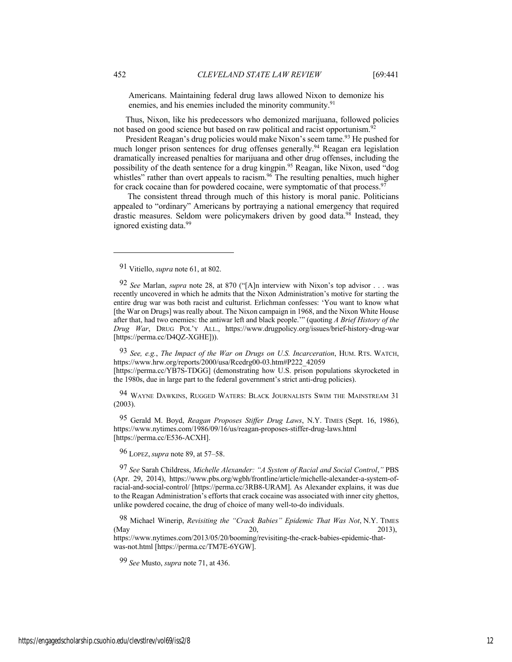Americans. Maintaining federal drug laws allowed Nixon to demonize his enemies, and his enemies included the minority community.<sup>91</sup>

Thus, Nixon, like his predecessors who demonized marijuana, followed policies not based on good science but based on raw political and racist opportunism.<sup>92</sup>

President Reagan's drug policies would make Nixon's seem tame.<sup>93</sup> He pushed for much longer prison sentences for drug offenses generally.<sup>94</sup> Reagan era legislation dramatically increased penalties for marijuana and other drug offenses, including the possibility of the death sentence for a drug kingpin.<sup>95</sup> Reagan, like Nixon, used "dog whistles" rather than overt appeals to racism.<sup>96</sup> The resulting penalties, much higher for crack cocaine than for powdered cocaine, were symptomatic of that process.<sup>97</sup>

The consistent thread through much of this history is moral panic. Politicians appealed to "ordinary" Americans by portraying a national emergency that required drastic measures. Seldom were policymakers driven by good data.<sup>98</sup> Instead, they ignored existing data.<sup>99</sup>

93 *See, e.g.*, *The Impact of the War on Drugs on U.S. Incarceration*, HUM. RTS. WATCH, https://www.hrw.org/reports/2000/usa/Rcedrg00-03.htm#P222\_42059 [https://perma.cc/YB7S-TDGG] (demonstrating how U.S. prison populations skyrocketed in the 1980s, due in large part to the federal government's strict anti-drug policies).

94 WAYNE DAWKINS, RUGGED WATERS: BLACK JOURNALISTS SWIM THE MAINSTREAM 31 (2003).

95 Gerald M. Boyd, *Reagan Proposes Stiffer Drug Laws*, N.Y. TIMES (Sept. 16, 1986), https://www.nytimes.com/1986/09/16/us/reagan-proposes-stiffer-drug-laws.html [https://perma.cc/E536-ACXH].

96 LOPEZ,*supra* note 89, at 57–58.

97 *See* Sarah Childress, *Michelle Alexander: "A System of Racial and Social Control*,*"* PBS (Apr. 29, 2014), https://www.pbs.org/wgbh/frontline/article/michelle-alexander-a-system-ofracial-and-social-control/ [https://perma.cc/3RB8-URAM]. As Alexander explains, it was due to the Reagan Administration's efforts that crack cocaine was associated with inner city ghettos, unlike powdered cocaine, the drug of choice of many well-to-do individuals.

98 Michael Winerip, *Revisiting the "Crack Babies" Epidemic That Was Not*, N.Y. TIMES (May 20, 2013), https://www.nytimes.com/2013/05/20/booming/revisiting-the-crack-babies-epidemic-thatwas-not.html [https://perma.cc/TM7E-6YGW].

99 *See* Musto, *supra* note 71, at 436.

<sup>91</sup> Vitiello, *supra* note 61, at 802.

<sup>92</sup> *See* Marlan, *supra* note 28, at 870 ("[A]n interview with Nixon's top advisor . . . was recently uncovered in which he admits that the Nixon Administration's motive for starting the entire drug war was both racist and culturist. Erlichman confesses: 'You want to know what [the War on Drugs] was really about. The Nixon campaign in 1968, and the Nixon White House after that, had two enemies: the antiwar left and black people.'" (quoting *A Brief History of the Drug War*, DRUG POL'Y ALL., https://www.drugpolicy.org/issues/brief-history-drug-war [https://perma.cc/D4QZ-XGHE])).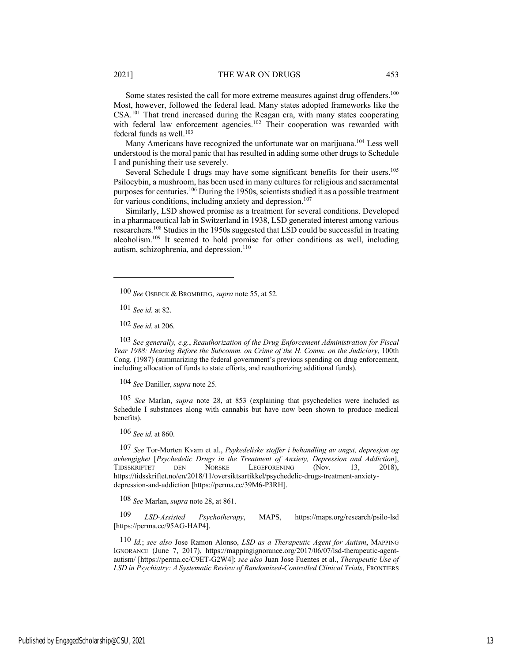Some states resisted the call for more extreme measures against drug offenders.<sup>100</sup> Most, however, followed the federal lead. Many states adopted frameworks like the CSA.101 That trend increased during the Reagan era, with many states cooperating with federal law enforcement agencies.<sup>102</sup> Their cooperation was rewarded with federal funds as well.<sup>103</sup>

Many Americans have recognized the unfortunate war on marijuana.<sup>104</sup> Less well understood is the moral panic that has resulted in adding some other drugs to Schedule I and punishing their use severely.

Several Schedule I drugs may have some significant benefits for their users.<sup>105</sup> Psilocybin, a mushroom, has been used in many cultures for religious and sacramental purposes for centuries.106 During the 1950s, scientists studied it as a possible treatment for various conditions, including anxiety and depression.<sup>107</sup>

Similarly, LSD showed promise as a treatment for several conditions. Developed in a pharmaceutical lab in Switzerland in 1938, LSD generated interest among various researchers.108 Studies in the 1950s suggested that LSD could be successful in treating alcoholism.109 It seemed to hold promise for other conditions as well, including autism, schizophrenia, and depression.<sup>110</sup>

101 *See id.* at 82.

102 *See id.* at 206.

103 *See generally, e.g.*, *Reauthorization of the Drug Enforcement Administration for Fiscal Year 1988: Hearing Before the Subcomm. on Crime of the H. Comm. on the Judiciary*, 100th Cong. (1987) (summarizing the federal government's previous spending on drug enforcement, including allocation of funds to state efforts, and reauthorizing additional funds).

104 *See* Daniller, *supra* note 25.

105 *See* Marlan, *supra* note 28, at 853 (explaining that psychedelics were included as Schedule I substances along with cannabis but have now been shown to produce medical benefits).

106 *See id.* at 860.

107 *See* Tor-Morten Kvam et al., *Psykedeliske stoffer i behandling av angst, depresjon og avhengighet* [*Psychedelic Drugs in the Treatment of Anxiety, Depression and Addiction*], TIDSSKRIFTET DEN NORSKE LEGEFORENING (Nov. 13, 2018), https://tidsskriftet.no/en/2018/11/oversiktsartikkel/psychedelic-drugs-treatment-anxietydepression-and-addiction [https://perma.cc/39M6-P3RH].

108 *See* Marlan, *supra* note 28, at 861.

109 *LSD-Assisted Psychotherapy*, MAPS, https://maps.org/research/psilo-lsd [https://perma.cc/95AG-HAP4].

110 *Id.*; *see also* Jose Ramon Alonso, *LSD as a Therapeutic Agent for Autism*, MAPPING IGNORANCE (June 7, 2017), https://mappingignorance.org/2017/06/07/lsd-therapeutic-agentautism/ [https://perma.cc/C9ET-G2W4]; *see also* Juan Jose Fuentes et al., *Therapeutic Use of*  LSD in Psychiatry: A Systematic Review of Randomized-Controlled Clinical Trials, FRONTIERS

<sup>100</sup> *See* OSBECK & BROMBERG, *supra* note 55, at 52.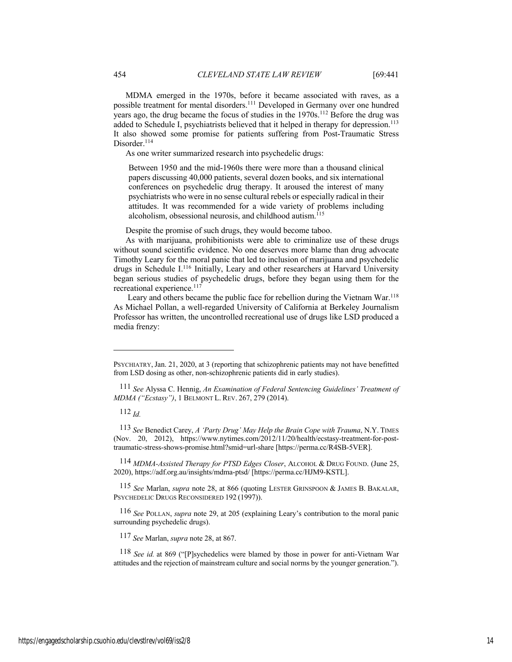MDMA emerged in the 1970s, before it became associated with raves, as a possible treatment for mental disorders.111 Developed in Germany over one hundred years ago, the drug became the focus of studies in the 1970s.<sup>112</sup> Before the drug was added to Schedule I, psychiatrists believed that it helped in therapy for depression.<sup>113</sup> It also showed some promise for patients suffering from Post-Traumatic Stress Disorder.<sup>114</sup>

As one writer summarized research into psychedelic drugs:

Between 1950 and the mid-1960s there were more than a thousand clinical papers discussing 40,000 patients, several dozen books, and six international conferences on psychedelic drug therapy. It aroused the interest of many psychiatrists who were in no sense cultural rebels or especially radical in their attitudes. It was recommended for a wide variety of problems including alcoholism, obsessional neurosis, and childhood autism.<sup>115</sup>

Despite the promise of such drugs, they would become taboo.

As with marijuana, prohibitionists were able to criminalize use of these drugs without sound scientific evidence. No one deserves more blame than drug advocate Timothy Leary for the moral panic that led to inclusion of marijuana and psychedelic drugs in Schedule I.<sup>116</sup> Initially, Leary and other researchers at Harvard University began serious studies of psychedelic drugs, before they began using them for the recreational experience.<sup>117</sup>

Leary and others became the public face for rebellion during the Vietnam War.<sup>118</sup> As Michael Pollan, a well-regarded University of California at Berkeley Journalism Professor has written, the uncontrolled recreational use of drugs like LSD produced a media frenzy:

112 *Id.*

113 *See* Benedict Carey, *A 'Party Drug' May Help the Brain Cope with Trauma*, N.Y. TIMES (Nov. 20, 2012), https://www.nytimes.com/2012/11/20/health/ecstasy-treatment-for-posttraumatic-stress-shows-promise.html?smid=url-share [https://perma.cc/R4SB-5VER].

114 *MDMA-Assisted Therapy for PTSD Edges Closer*, ALCOHOL & DRUG FOUND. (June 25, 2020), https://adf.org.au/insights/mdma-ptsd/ [https://perma.cc/HJM9-KSTL].

115 *See* Marlan, *supra* note 28, at 866 (quoting LESTER GRINSPOON & JAMES B. BAKALAR, PSYCHEDELIC DRUGS RECONSIDERED 192 (1997)).

116 *See* POLLAN, *supra* note 29, at 205 (explaining Leary's contribution to the moral panic surrounding psychedelic drugs).

117 *See* Marlan, *supra* note 28, at 867.

PSYCHIATRY, Jan. 21, 2020, at 3 (reporting that schizophrenic patients may not have benefitted from LSD dosing as other, non-schizophrenic patients did in early studies).

<sup>111</sup> *See* Alyssa C. Hennig, *An Examination of Federal Sentencing Guidelines' Treatment of MDMA ("Ecstasy")*, 1 BELMONT L. REV. 267, 279 (2014).

<sup>118</sup> *See id.* at 869 ("[P]sychedelics were blamed by those in power for anti-Vietnam War attitudes and the rejection of mainstream culture and social norms by the younger generation.").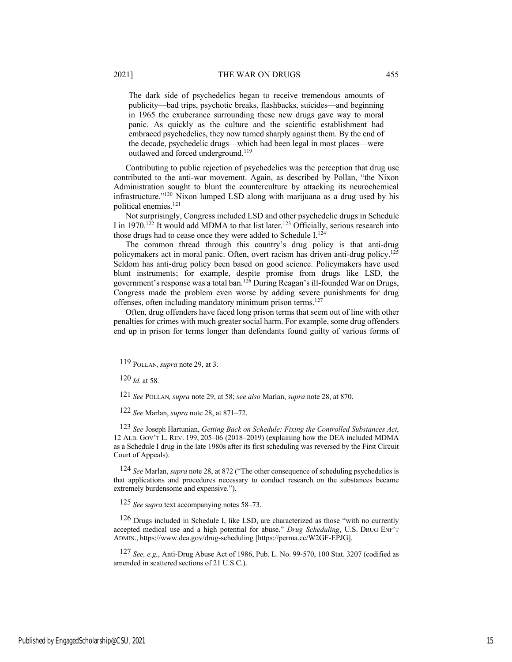The dark side of psychedelics began to receive tremendous amounts of publicity—bad trips, psychotic breaks, flashbacks, suicides—and beginning in 1965 the exuberance surrounding these new drugs gave way to moral panic. As quickly as the culture and the scientific establishment had embraced psychedelics, they now turned sharply against them. By the end of the decade, psychedelic drugs—which had been legal in most places—were

Contributing to public rejection of psychedelics was the perception that drug use contributed to the anti-war movement. Again, as described by Pollan, "the Nixon Administration sought to blunt the counterculture by attacking its neurochemical infrastructure."120 Nixon lumped LSD along with marijuana as a drug used by his political enemies.121

Not surprisingly, Congress included LSD and other psychedelic drugs in Schedule I in 1970.<sup>122</sup> It would add MDMA to that list later.<sup>123</sup> Officially, serious research into those drugs had to cease once they were added to Schedule I.<sup>124</sup>

The common thread through this country's drug policy is that anti-drug policymakers act in moral panic. Often, overt racism has driven anti-drug policy.125 Seldom has anti-drug policy been based on good science. Policymakers have used blunt instruments; for example, despite promise from drugs like LSD, the government's response was a total ban.126 During Reagan's ill-founded War on Drugs, Congress made the problem even worse by adding severe punishments for drug offenses, often including mandatory minimum prison terms.<sup>127</sup>

Often, drug offenders have faced long prison terms that seem out of line with other penalties for crimes with much greater social harm. For example, some drug offenders end up in prison for terms longer than defendants found guilty of various forms of

 $120$  *Id.* at 58.

121 *See* POLLAN*,supra* note 29, at 58; *see also* Marlan, *supra* note 28, at 870.

122 *See* Marlan, *supra* note 28, at 871–72.

outlawed and forced underground.<sup>119</sup>

123 *See* Joseph Hartunian, *Getting Back on Schedule: Fixing the Controlled Substances Act*, 12 ALB. GOV'T L. REV. 199, 205–06 (2018–2019) (explaining how the DEA included MDMA as a Schedule I drug in the late 1980s after its first scheduling was reversed by the First Circuit Court of Appeals).

124 *See* Marlan, *supra* note 28, at 872 ("The other consequence of scheduling psychedelics is that applications and procedures necessary to conduct research on the substances became extremely burdensome and expensive.").

125 *See* s*upra* text accompanying notes 58–73.

<sup>126</sup> Drugs included in Schedule I, like LSD, are characterized as those "with no currently accepted medical use and a high potential for abuse." *Drug Scheduling*, U.S. DRUG ENF'T ADMIN., https://www.dea.gov/drug-scheduling [https://perma.cc/W2GF-EPJG].

127 *See, e.g.*, Anti-Drug Abuse Act of 1986, Pub. L. No. 99-570, 100 Stat. 3207 (codified as amended in scattered sections of 21 U.S.C.).

<sup>119</sup> POLLAN*,supra* note 29, at 3.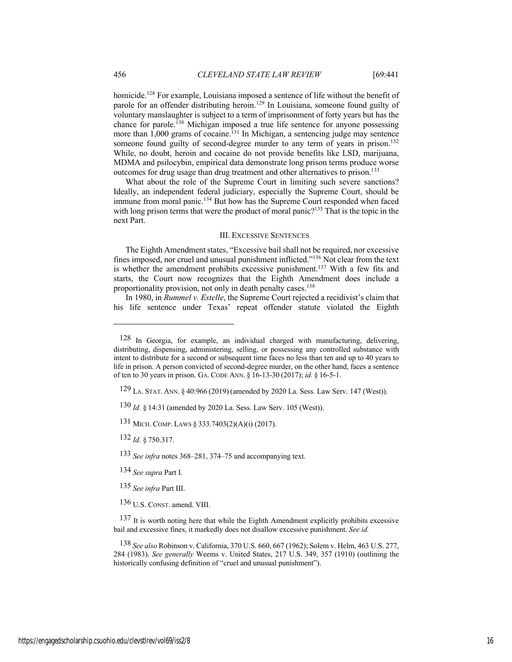homicide.<sup>128</sup> For example, Louisiana imposed a sentence of life without the benefit of parole for an offender distributing heroin.<sup>129</sup> In Louisiana, someone found guilty of voluntary manslaughter is subject to a term of imprisonment of forty years but has the chance for parole.<sup>130</sup> Michigan imposed a true life sentence for anyone possessing more than  $1,000$  grams of cocaine.<sup>131</sup> In Michigan, a sentencing judge may sentence someone found guilty of second-degree murder to any term of years in prison.<sup>132</sup> While, no doubt, heroin and cocaine do not provide benefits like LSD, marijuana, MDMA and psilocybin, empirical data demonstrate long prison terms produce worse outcomes for drug usage than drug treatment and other alternatives to prison.<sup>133</sup>

What about the role of the Supreme Court in limiting such severe sanctions? Ideally, an independent federal judiciary, especially the Supreme Court, should be immune from moral panic.<sup>134</sup> But how has the Supreme Court responded when faced with long prison terms that were the product of moral panic?<sup>135</sup> That is the topic in the next Part.

#### III. EXCESSIVE SENTENCES

The Eighth Amendment states, "Excessive bail shall not be required, nor excessive fines imposed, nor cruel and unusual punishment inflicted."136 Not clear from the text is whether the amendment prohibits excessive punishment.<sup>137</sup> With a few fits and starts, the Court now recognizes that the Eighth Amendment does include a proportionality provision, not only in death penalty cases.<sup>138</sup>

In 1980, in *Rummel v. Estelle*, the Supreme Court rejected a recidivist's claim that his life sentence under Texas' repeat offender statute violated the Eighth

133 *See infra* notes 368–281, 374–75 and accompanying text.

<sup>128</sup> In Georgia, for example, an individual charged with manufacturing, delivering, distributing, dispensing, administering, selling, or possessing any controlled substance with intent to distribute for a second or subsequent time faces no less than ten and up to 40 years to life in prison. A person convicted of second-degree murder, on the other hand, faces a sentence of ten to 30 years in prison. GA. CODE ANN. § 16-13-30 (2017); *id.* § 16-5-1.

<sup>129</sup> LA. STAT. ANN. § 40:966 (2019) (amended by 2020 La. Sess. Law Serv. 147 (West)).

<sup>130</sup> *Id.* § 14:31 (amended by 2020 La. Sess. Law Serv. 105 (West)).

<sup>131</sup> MICH. COMP. LAWS § 333.7403(2)(A)(i) (2017).

<sup>132</sup> *Id.* § 750.317.

<sup>134</sup> *See supra* Part I.

<sup>135</sup> *See infra* Part III.

<sup>136</sup> U.S. CONST. amend. VIII.

<sup>137</sup> It is worth noting here that while the Eighth Amendment explicitly prohibits excessive bail and excessive fines, it markedly does not disallow excessive punishment. *See id.*

<sup>138</sup> *See also* Robinson v. California, 370 U.S. 660, 667 (1962); Solem v. Helm, 463 U.S. 277, 284 (1983). *See generally* Weems v. United States, 217 U.S. 349, 357 (1910) (outlining the historically confusing definition of "cruel and unusual punishment").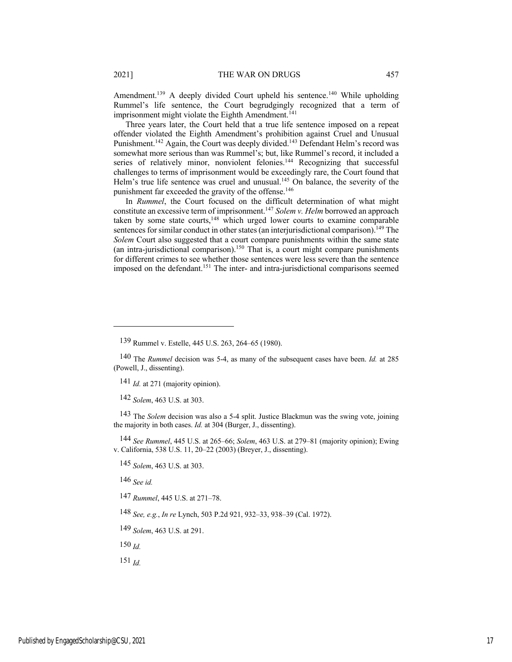Amendment.<sup>139</sup> A deeply divided Court upheld his sentence.<sup>140</sup> While upholding Rummel's life sentence, the Court begrudgingly recognized that a term of imprisonment might violate the Eighth Amendment.<sup>141</sup>

Three years later, the Court held that a true life sentence imposed on a repeat offender violated the Eighth Amendment's prohibition against Cruel and Unusual Punishment.<sup>142</sup> Again, the Court was deeply divided.<sup>143</sup> Defendant Helm's record was somewhat more serious than was Rummel's; but, like Rummel's record, it included a series of relatively minor, nonviolent felonies.<sup>144</sup> Recognizing that successful challenges to terms of imprisonment would be exceedingly rare, the Court found that Helm's true life sentence was cruel and unusual.<sup>145</sup> On balance, the severity of the punishment far exceeded the gravity of the offense.<sup>146</sup>

In *Rummel*, the Court focused on the difficult determination of what might constitute an excessive term of imprisonment.147 *Solem v. Helm* borrowed an approach taken by some state courts,<sup>148</sup> which urged lower courts to examine comparable sentences for similar conduct in other states (an interjurisdictional comparison).<sup>149</sup> The *Solem* Court also suggested that a court compare punishments within the same state (an intra-jurisdictional comparison).<sup>150</sup> That is, a court might compare punishments for different crimes to see whether those sentences were less severe than the sentence imposed on the defendant.151 The inter- and intra-jurisdictional comparisons seemed

143 The *Solem* decision was also a 5-4 split. Justice Blackmun was the swing vote, joining the majority in both cases. *Id.* at 304 (Burger, J., dissenting).

144 *See Rummel*, 445 U.S. at 265–66; *Solem*, 463 U.S. at 279–81 (majority opinion); Ewing v. California, 538 U.S. 11, 20–22 (2003) (Breyer, J., dissenting).

145 *Solem*, 463 U.S. at 303.

146 *See id.*

147 *Rummel*, 445 U.S. at 271–78.

148 *See, e.g.*, *In re* Lynch, 503 P.2d 921, 932–33, 938–39 (Cal. 1972).

149 *Solem*, 463 U.S. at 291.

150 *Id.*

151 *Id.*

<sup>139</sup> Rummel v. Estelle, 445 U.S. 263, 264–65 (1980).

<sup>140</sup> The *Rummel* decision was 5-4, as many of the subsequent cases have been. *Id.* at 285 (Powell, J., dissenting).

<sup>141</sup> *Id.* at 271 (majority opinion).

<sup>142</sup> *Solem*, 463 U.S. at 303.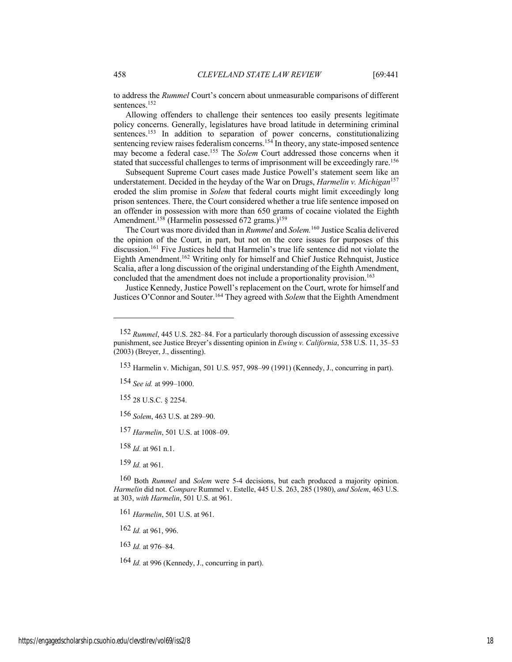to address the *Rummel* Court's concern about unmeasurable comparisons of different sentences.<sup>152</sup>

Allowing offenders to challenge their sentences too easily presents legitimate policy concerns. Generally, legislatures have broad latitude in determining criminal sentences.<sup>153</sup> In addition to separation of power concerns, constitutionalizing sentencing review raises federalism concerns.<sup>154</sup> In theory, any state-imposed sentence may become a federal case.155 The *Solem* Court addressed those concerns when it stated that successful challenges to terms of imprisonment will be exceedingly rare.<sup>156</sup>

Subsequent Supreme Court cases made Justice Powell's statement seem like an understatement. Decided in the heyday of the War on Drugs, *Harmelin v. Michigan*<sup>157</sup> eroded the slim promise in *Solem* that federal courts might limit exceedingly long prison sentences. There, the Court considered whether a true life sentence imposed on an offender in possession with more than 650 grams of cocaine violated the Eighth Amendment.<sup>158</sup> (Harmelin possessed 672 grams.)<sup>159</sup>

The Court was more divided than in *Rummel* and *Solem.*<sup>160</sup> Justice Scalia delivered the opinion of the Court, in part, but not on the core issues for purposes of this discussion.161 Five Justices held that Harmelin's true life sentence did not violate the Eighth Amendment.162 Writing only for himself and Chief Justice Rehnquist, Justice Scalia, after a long discussion of the original understanding of the Eighth Amendment, concluded that the amendment does not include a proportionality provision.<sup>163</sup>

Justice Kennedy, Justice Powell's replacement on the Court, wrote for himself and Justices O'Connor and Souter.164 They agreed with *Solem* that the Eighth Amendment

154 *See id.* at 999–1000.

155 28 U.S.C. § 2254.

156 *Solem*, 463 U.S. at 289–90.

157 *Harmelin*, 501 U.S. at 1008–09.

158 *Id.* at 961 n.1.

159 *Id.* at 961.

160 Both *Rummel* and *Solem* were 5-4 decisions, but each produced a majority opinion. *Harmelin* did not. *Compare* Rummel v. Estelle, 445 U.S. 263, 285 (1980), *and Solem*, 463 U.S. at 303, *with Harmelin*, 501 U.S. at 961.

161 *Harmelin*, 501 U.S. at 961.

162 *Id.* at 961, 996.

163 *Id.* at 976–84.

164 *Id.* at 996 (Kennedy, J., concurring in part).

<sup>152</sup> *Rummel*, 445 U.S. 282–84. For a particularly thorough discussion of assessing excessive punishment, see Justice Breyer's dissenting opinion in *Ewing v. California*, 538 U.S. 11, 35–53 (2003) (Breyer, J., dissenting).

<sup>153</sup> Harmelin v. Michigan, 501 U.S. 957, 998–99 (1991) (Kennedy, J., concurring in part).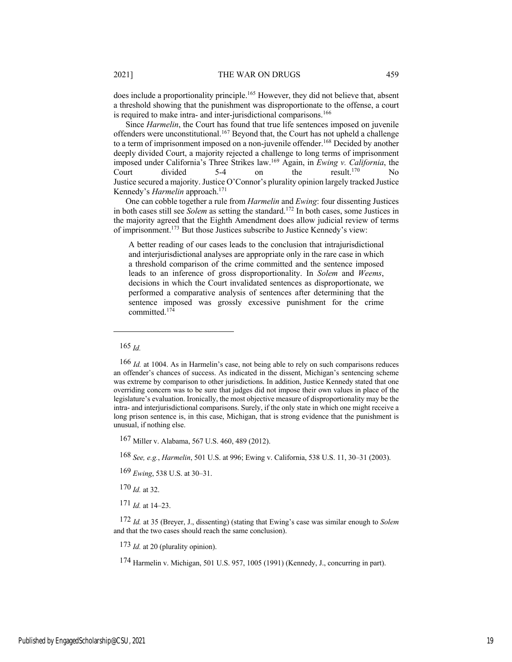does include a proportionality principle.165 However, they did not believe that, absent a threshold showing that the punishment was disproportionate to the offense, a court is required to make intra- and inter-jurisdictional comparisons.<sup>166</sup>

Since *Harmelin*, the Court has found that true life sentences imposed on juvenile offenders were unconstitutional.167 Beyond that, the Court has not upheld a challenge to a term of imprisonment imposed on a non-juvenile offender.<sup>168</sup> Decided by another deeply divided Court, a majority rejected a challenge to long terms of imprisonment imposed under California's Three Strikes law.169 Again, in *Ewing v. California*, the Court divided  $5-4$  on the result.<sup>170</sup> No Justice secured a majority. Justice O'Connor's plurality opinion largely tracked Justice Kennedy's *Harmelin* approach.171

One can cobble together a rule from *Harmelin* and *Ewing*: four dissenting Justices in both cases still see *Solem* as setting the standard.172 In both cases, some Justices in the majority agreed that the Eighth Amendment does allow judicial review of terms of imprisonment.173 But those Justices subscribe to Justice Kennedy's view:

A better reading of our cases leads to the conclusion that intrajurisdictional and interjurisdictional analyses are appropriate only in the rare case in which a threshold comparison of the crime committed and the sentence imposed leads to an inference of gross disproportionality. In *Solem* and *Weems*, decisions in which the Court invalidated sentences as disproportionate, we performed a comparative analysis of sentences after determining that the sentence imposed was grossly excessive punishment for the crime committed.174

170 *Id.* at 32.

171 *Id.* at 14–23.

173 *Id.* at 20 (plurality opinion).

174 Harmelin v. Michigan, 501 U.S. 957, 1005 (1991) (Kennedy, J., concurring in part).

<sup>165</sup> *Id.*

<sup>166</sup> *Id.* at 1004. As in Harmelin's case, not being able to rely on such comparisons reduces an offender's chances of success. As indicated in the dissent, Michigan's sentencing scheme was extreme by comparison to other jurisdictions. In addition, Justice Kennedy stated that one overriding concern was to be sure that judges did not impose their own values in place of the legislature's evaluation. Ironically, the most objective measure of disproportionality may be the intra- and interjurisdictional comparisons. Surely, if the only state in which one might receive a long prison sentence is, in this case, Michigan, that is strong evidence that the punishment is unusual, if nothing else.

<sup>167</sup> Miller v. Alabama, 567 U.S. 460, 489 (2012).

<sup>168</sup> *See, e.g.*, *Harmelin*, 501 U.S. at 996; Ewing v. California, 538 U.S. 11, 30–31 (2003).

<sup>169</sup> *Ewing*, 538 U.S. at 30–31.

<sup>172</sup> *Id.* at 35 (Breyer, J., dissenting) (stating that Ewing's case was similar enough to *Solem* and that the two cases should reach the same conclusion).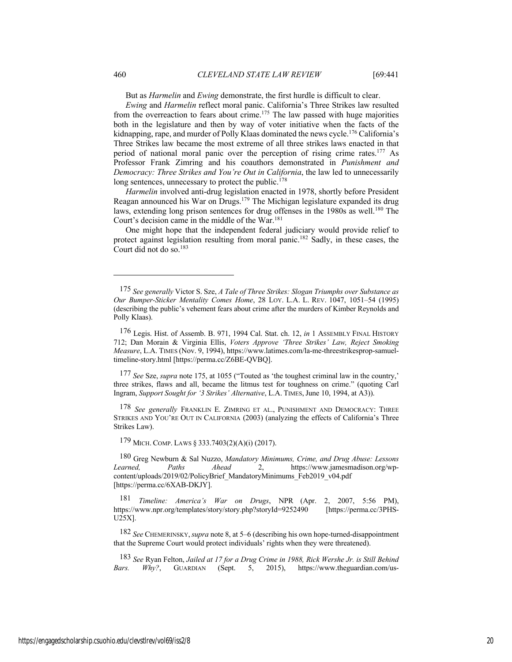But as *Harmelin* and *Ewing* demonstrate, the first hurdle is difficult to clear.

*Ewing* and *Harmelin* reflect moral panic. California's Three Strikes law resulted from the overreaction to fears about crime.<sup>175</sup> The law passed with huge majorities both in the legislature and then by way of voter initiative when the facts of the kidnapping, rape, and murder of Polly Klaas dominated the news cycle.<sup>176</sup> California's Three Strikes law became the most extreme of all three strikes laws enacted in that period of national moral panic over the perception of rising crime rates.<sup>177</sup> As Professor Frank Zimring and his coauthors demonstrated in *Punishment and Democracy: Three Strikes and You're Out in California*, the law led to unnecessarily long sentences, unnecessary to protect the public.<sup>178</sup>

*Harmelin* involved anti-drug legislation enacted in 1978, shortly before President Reagan announced his War on Drugs.179 The Michigan legislature expanded its drug laws, extending long prison sentences for drug offenses in the 1980s as well.<sup>180</sup> The Court's decision came in the middle of the War.181

One might hope that the independent federal judiciary would provide relief to protect against legislation resulting from moral panic.<sup>182</sup> Sadly, in these cases, the Court did not do so.<sup>183</sup>

177 *See* Sze, *supra* note 175, at 1055 ("Touted as 'the toughest criminal law in the country,' three strikes, flaws and all, became the litmus test for toughness on crime." (quoting Carl Ingram, *Support Sought for '3 Strikes' Alternative*, L.A. TIMES, June 10, 1994, at A3)).

178 *See generally* FRANKLIN E. ZIMRING ET AL., PUNISHMENT AND DEMOCRACY: THREE STRIKES AND YOU'RE OUT IN CALIFORNIA (2003) (analyzing the effects of California's Three Strikes Law).

179 MICH. COMP. LAWS § 333.7403(2)(A)(i) (2017).

180 Greg Newburn & Sal Nuzzo, *Mandatory Minimums, Crime, and Drug Abuse: Lessons Learned, Paths Ahead* 2, https://www.jamesmadison.org/wpcontent/uploads/2019/02/PolicyBrief\_MandatoryMinimums\_Feb2019\_v04.pdf [https://perma.cc/6XAB-DKJY].

181 *Timeline: America's War on Drugs*, NPR (Apr. 2, 2007, 5:56 PM), https://www.npr.org/templates/story/story.php?storyId=9252490 [https://perma.cc/3PHS-U25X].

182 *See* CHEMERINSKY,*supra* note 8, at 5–6 (describing his own hope-turned-disappointment that the Supreme Court would protect individuals' rights when they were threatened).

183 *See* Ryan Felton, *Jailed at 17 for a Drug Crime in 1988, Rick Wershe Jr. is Still Behind Bars. Why?*, GUARDIAN (Sept. 5, 2015), https://www.theguardian.com/us-

<sup>175</sup> *See generally* Victor S. Sze, *A Tale of Three Strikes: Slogan Triumphs over Substance as Our Bumper-Sticker Mentality Comes Home*, 28 LOY. L.A. L. REV. 1047, 1051–54 (1995) (describing the public's vehement fears about crime after the murders of Kimber Reynolds and Polly Klaas).

<sup>176</sup> Legis. Hist. of Assemb. B. 971, 1994 Cal. Stat. ch. 12, *in* 1 ASSEMBLY FINAL HISTORY 712; Dan Morain & Virginia Ellis, *Voters Approve 'Three Strikes' Law, Reject Smoking Measure*, L.A. TIMES (Nov. 9, 1994), https://www.latimes.com/la-me-threestrikesprop-samueltimeline-story.html [https://perma.cc/Z6BE-QVBQ].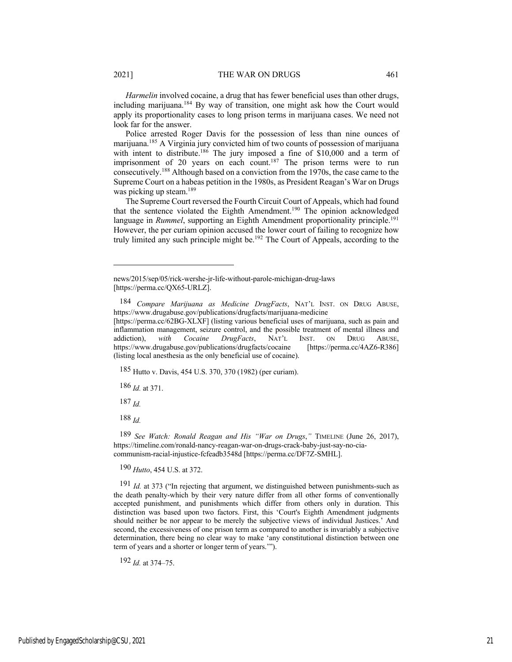*Harmelin* involved cocaine, a drug that has fewer beneficial uses than other drugs, including marijuana.184 By way of transition, one might ask how the Court would apply its proportionality cases to long prison terms in marijuana cases. We need not look far for the answer.

Police arrested Roger Davis for the possession of less than nine ounces of marijuana.185 A Virginia jury convicted him of two counts of possession of marijuana with intent to distribute.<sup>186</sup> The jury imposed a fine of \$10,000 and a term of imprisonment of 20 years on each count.<sup>187</sup> The prison terms were to run consecutively.188 Although based on a conviction from the 1970s, the case came to the Supreme Court on a habeas petition in the 1980s, as President Reagan's War on Drugs was picking up steam.<sup>189</sup>

The Supreme Court reversed the Fourth Circuit Court of Appeals, which had found that the sentence violated the Eighth Amendment.<sup>190</sup> The opinion acknowledged language in *Rummel*, supporting an Eighth Amendment proportionality principle.<sup>191</sup> However, the per curiam opinion accused the lower court of failing to recognize how truly limited any such principle might be.<sup>192</sup> The Court of Appeals, according to the

185 Hutto v. Davis, 454 U.S. 370, 370 (1982) (per curiam).

186 *Id.* at 371.

187 *Id.*

188 *Id.*

189 *See Watch: Ronald Reagan and His "War on Drugs*,*"* TIMELINE (June 26, 2017), https://timeline.com/ronald-nancy-reagan-war-on-drugs-crack-baby-just-say-no-ciacommunism-racial-injustice-fcfeadb3548d [https://perma.cc/DF7Z-SMHL].

190 *Hutto*, 454 U.S. at 372.

191 *Id.* at 373 ("In rejecting that argument, we distinguished between punishments-such as the death penalty-which by their very nature differ from all other forms of conventionally accepted punishment, and punishments which differ from others only in duration. This distinction was based upon two factors. First, this 'Court's Eighth Amendment judgments should neither be nor appear to be merely the subjective views of individual Justices.' And second, the excessiveness of one prison term as compared to another is invariably a subjective determination, there being no clear way to make 'any constitutional distinction between one term of years and a shorter or longer term of years.'").

192 *Id.* at 374–75.

news/2015/sep/05/rick-wershe-jr-life-without-parole-michigan-drug-laws [https://perma.cc/QX65-URLZ].

<sup>184</sup> *Compare Marijuana as Medicine DrugFacts*, NAT'L INST. ON DRUG ABUSE, https://www.drugabuse.gov/publications/drugfacts/marijuana-medicine

<sup>[</sup>https://perma.cc/62BG-XLXF] (listing various beneficial uses of marijuana, such as pain and inflammation management, seizure control, and the possible treatment of mental illness and addiction), *with Cocaine DrugFacts*, NAT'L INST. ON DRUG ABUSE, https://www.drugabuse.gov/publications/drugfacts/cocaine [https://perma.cc/4AZ6-R386] (listing local anesthesia as the only beneficial use of cocaine).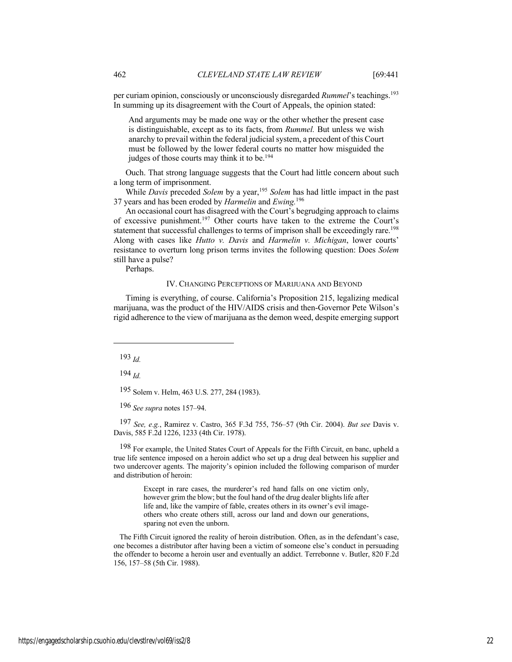per curiam opinion, consciously or unconsciously disregarded *Rummel*'s teachings.<sup>193</sup> In summing up its disagreement with the Court of Appeals, the opinion stated:

And arguments may be made one way or the other whether the present case is distinguishable, except as to its facts, from *Rummel.* But unless we wish anarchy to prevail within the federal judicial system, a precedent of this Court must be followed by the lower federal courts no matter how misguided the judges of those courts may think it to be.<sup>194</sup>

Ouch. That strong language suggests that the Court had little concern about such a long term of imprisonment.

While *Davis* preceded *Solem* by a year,<sup>195</sup> *Solem* has had little impact in the past 37 years and has been eroded by *Harmelin* and *Ewing.*<sup>196</sup>

An occasional court has disagreed with the Court's begrudging approach to claims of excessive punishment.197 Other courts have taken to the extreme the Court's statement that successful challenges to terms of imprison shall be exceedingly rare.<sup>198</sup> Along with cases like *Hutto v. Davis* and *Harmelin v. Michigan*, lower courts' resistance to overturn long prison terms invites the following question: Does *Solem* still have a pulse?

Perhaps.

#### IV. CHANGING PERCEPTIONS OF MARIJUANA AND BEYOND

Timing is everything, of course. California's Proposition 215, legalizing medical marijuana, was the product of the HIV/AIDS crisis and then-Governor Pete Wilson's rigid adherence to the view of marijuana as the demon weed, despite emerging support

193 *Id.*

194 *Id.*

195 Solem v. Helm, 463 U.S. 277, 284 (1983).

196 *See supra* notes 157–94.

197 *See, e*.*g.*, Ramirez v. Castro, 365 F.3d 755, 756–57 (9th Cir. 2004). *But see* Davis v. Davis, 585 F.2d 1226, 1233 (4th Cir. 1978).

198 For example, the United States Court of Appeals for the Fifth Circuit, en banc, upheld a true life sentence imposed on a heroin addict who set up a drug deal between his supplier and two undercover agents. The majority's opinion included the following comparison of murder and distribution of heroin:

> Except in rare cases, the murderer's red hand falls on one victim only, however grim the blow; but the foul hand of the drug dealer blights life after life and, like the vampire of fable, creates others in its owner's evil imageothers who create others still, across our land and down our generations, sparing not even the unborn.

The Fifth Circuit ignored the reality of heroin distribution. Often, as in the defendant's case, one becomes a distributor after having been a victim of someone else's conduct in persuading the offender to become a heroin user and eventually an addict. Terrebonne v. Butler, 820 F.2d 156, 157–58 (5th Cir. 1988).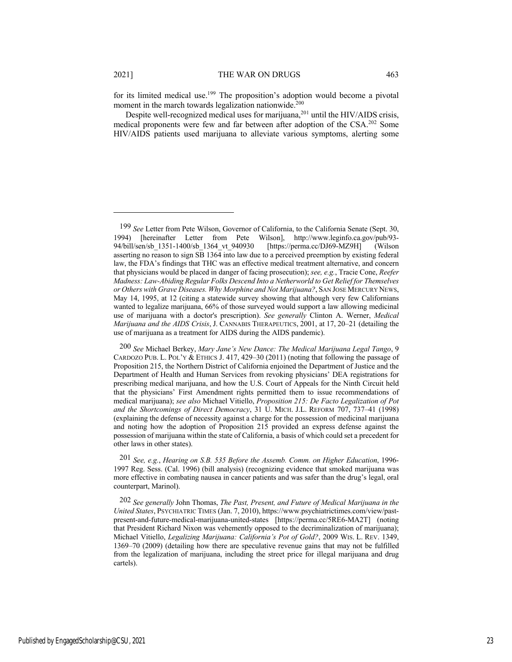for its limited medical use.<sup>199</sup> The proposition's adoption would become a pivotal moment in the march towards legalization nationwide.<sup>200</sup>

Despite well-recognized medical uses for marijuana,201 until the HIV/AIDS crisis, medical proponents were few and far between after adoption of the CSA.202 Some HIV/AIDS patients used marijuana to alleviate various symptoms, alerting some

201 *See, e.g.*, *Hearing on S.B. 535 Before the Assemb. Comm. on Higher Education*, 1996- 1997 Reg. Sess. (Cal. 1996) (bill analysis) (recognizing evidence that smoked marijuana was more effective in combating nausea in cancer patients and was safer than the drug's legal, oral counterpart, Marinol).

202 *See generally* John Thomas, *The Past, Present, and Future of Medical Marijuana in the United States*, PSYCHIATRIC TIMES (Jan. 7, 2010), https://www.psychiatrictimes.com/view/pastpresent-and-future-medical-marijuana-united-states [https://perma.cc/5RE6-MA2T] (noting that President Richard Nixon was vehemently opposed to the decriminalization of marijuana); Michael Vitiello, *Legalizing Marijuana: California's Pot of Gold?*, 2009 WIS. L. REV. 1349, 1369–70 (2009) (detailing how there are speculative revenue gains that may not be fulfilled from the legalization of marijuana, including the street price for illegal marijuana and drug cartels).

<sup>199</sup> *See* Letter from Pete Wilson, Governor of California, to the California Senate (Sept. 30, 1994) [hereinafter Letter from Pete Wilson], http://www.leginfo.ca.gov/pub/93- 94/bill/sen/sb\_1351-1400/sb\_1364\_vt\_940930 [https://perma.cc/DJ69-MZ9H] (Wilson asserting no reason to sign SB 1364 into law due to a perceived preemption by existing federal law, the FDA's findings that THC was an effective medical treatment alternative, and concern that physicians would be placed in danger of facing prosecution); *see, e.g.*, Tracie Cone, *Reefer Madness: Law-Abiding Regular Folks Descend Into a Netherworld to Get Relief for Themselves or Others with Grave Diseases. Why Morphine and Not Marijuana?*, SAN JOSE MERCURY NEWS, May 14, 1995, at 12 (citing a statewide survey showing that although very few Californians wanted to legalize marijuana, 66% of those surveyed would support a law allowing medicinal use of marijuana with a doctor's prescription). *See generally* Clinton A. Werner, *Medical Marijuana and the AIDS Crisis*, J. CANNABIS THERAPEUTICS, 2001, at 17, 20–21 (detailing the use of marijuana as a treatment for AIDS during the AIDS pandemic).

<sup>200</sup> *See* Michael Berkey, *Mary Jane's New Dance: The Medical Marijuana Legal Tango*, 9 CARDOZO PUB. L. POL'Y & ETHICS J. 417, 429–30 (2011) (noting that following the passage of Proposition 215, the Northern District of California enjoined the Department of Justice and the Department of Health and Human Services from revoking physicians' DEA registrations for prescribing medical marijuana, and how the U.S. Court of Appeals for the Ninth Circuit held that the physicians' First Amendment rights permitted them to issue recommendations of medical marijuana); *see also* Michael Vitiello, *Proposition 215: De Facto Legalization of Pot and the Shortcomings of Direct Democracy*, 31 U. MICH. J.L. REFORM 707, 737–41 (1998) (explaining the defense of necessity against a charge for the possession of medicinal marijuana and noting how the adoption of Proposition 215 provided an express defense against the possession of marijuana within the state of California, a basis of which could set a precedent for other laws in other states).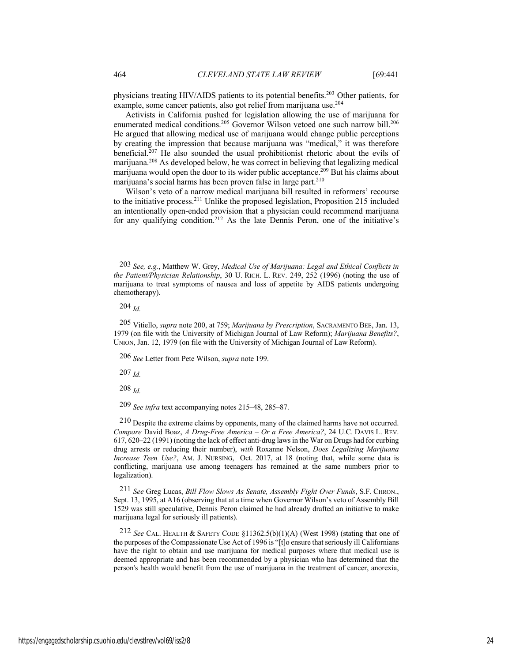physicians treating HIV/AIDS patients to its potential benefits.<sup>203</sup> Other patients, for example, some cancer patients, also got relief from marijuana use.204

Activists in California pushed for legislation allowing the use of marijuana for enumerated medical conditions.<sup>205</sup> Governor Wilson vetoed one such narrow bill.<sup>206</sup> He argued that allowing medical use of marijuana would change public perceptions by creating the impression that because marijuana was "medical," it was therefore beneficial.207 He also sounded the usual prohibitionist rhetoric about the evils of marijuana.208 As developed below, he was correct in believing that legalizing medical marijuana would open the door to its wider public acceptance.209 But his claims about marijuana's social harms has been proven false in large part.<sup>210</sup>

Wilson's veto of a narrow medical marijuana bill resulted in reformers' recourse to the initiative process.211 Unlike the proposed legislation, Proposition 215 included an intentionally open-ended provision that a physician could recommend marijuana for any qualifying condition.<sup>212</sup> As the late Dennis Peron, one of the initiative's

206 *See* Letter from Pete Wilson, *supra* note 199.

207 *Id.*

208 *Id.*

209 *See infra* text accompanying notes 215–48, 285–87.

210 Despite the extreme claims by opponents, many of the claimed harms have not occurred. *Compare* David Boaz, *A Drug-Free America – Or a Free America?*, 24 U.C. DAVIS L. REV. 617, 620–22 (1991) (noting the lack of effect anti-drug laws in the War on Drugs had for curbing drug arrests or reducing their number), *with* Roxanne Nelson, *Does Legalizing Marijuana Increase Teen Use?*, AM. J. NURSING, Oct. 2017, at 18 (noting that, while some data is conflicting, marijuana use among teenagers has remained at the same numbers prior to legalization).

211 *See* Greg Lucas, *Bill Flow Slows As Senate, Assembly Fight Over Funds*, S.F. CHRON., Sept. 13, 1995, at A16 (observing that at a time when Governor Wilson's veto of Assembly Bill 1529 was still speculative, Dennis Peron claimed he had already drafted an initiative to make marijuana legal for seriously ill patients).

212 *See* CAL. HEALTH & SAFETY CODE §11362.5(b)(1)(A) (West 1998) (stating that one of the purposes of the Compassionate Use Act of 1996 is "[t]o ensure that seriously ill Californians have the right to obtain and use marijuana for medical purposes where that medical use is deemed appropriate and has been recommended by a physician who has determined that the person's health would benefit from the use of marijuana in the treatment of cancer, anorexia,

<sup>203</sup> *See, e.g.*, Matthew W. Grey, *Medical Use of Marijuana: Legal and Ethical Conflicts in the Patient/Physician Relationship*, 30 U. RICH. L. REV. 249, 252 (1996) (noting the use of marijuana to treat symptoms of nausea and loss of appetite by AIDS patients undergoing chemotherapy).

<sup>204</sup> *Id.*

<sup>205</sup> Vitiello, *supra* note 200, at 759; *Marijuana by Prescription*, SACRAMENTO BEE, Jan. 13, 1979 (on file with the University of Michigan Journal of Law Reform); *Marijuana Benefits?*, UNION, Jan. 12, 1979 (on file with the University of Michigan Journal of Law Reform).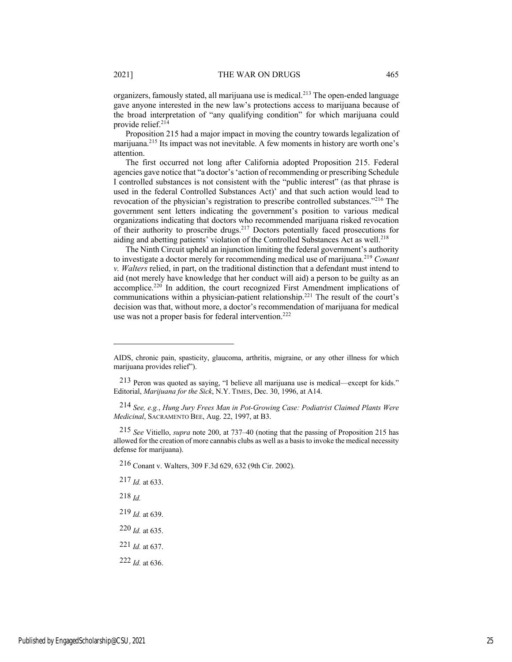organizers, famously stated, all marijuana use is medical.213 The open-ended language gave anyone interested in the new law's protections access to marijuana because of the broad interpretation of "any qualifying condition" for which marijuana could provide relief.<sup>214</sup>

Proposition 215 had a major impact in moving the country towards legalization of marijuana.215 Its impact was not inevitable. A few moments in history are worth one's attention.

The first occurred not long after California adopted Proposition 215. Federal agencies gave notice that "a doctor's 'action of recommending or prescribing Schedule I controlled substances is not consistent with the "public interest" (as that phrase is used in the federal Controlled Substances Act)' and that such action would lead to revocation of the physician's registration to prescribe controlled substances."216 The government sent letters indicating the government's position to various medical organizations indicating that doctors who recommended marijuana risked revocation of their authority to proscribe drugs.<sup>217</sup> Doctors potentially faced prosecutions for aiding and abetting patients' violation of the Controlled Substances Act as well.<sup>218</sup>

The Ninth Circuit upheld an injunction limiting the federal government's authority to investigate a doctor merely for recommending medical use of marijuana.219 *Conant v. Walters* relied, in part, on the traditional distinction that a defendant must intend to aid (not merely have knowledge that her conduct will aid) a person to be guilty as an accomplice.220 In addition, the court recognized First Amendment implications of communications within a physician-patient relationship.221 The result of the court's decision was that, without more, a doctor's recommendation of marijuana for medical use was not a proper basis for federal intervention.<sup>222</sup>

214 *See, e.g.*, *Hung Jury Frees Man in Pot-Growing Case: Podiatrist Claimed Plants Were Medicinal*, SACRAMENTO BEE, Aug. 22, 1997, at B3.

215 *See* Vitiello, *supra* note 200, at 737–40 (noting that the passing of Proposition 215 has allowed for the creation of more cannabis clubs as well as a basis to invoke the medical necessity defense for marijuana).

216 Conant v. Walters, 309 F.3d 629, 632 (9th Cir. 2002).

217 *Id.* at 633.

218 *Id.*

219 *Id.* at 639.

220 *Id.* at 635.

221 *Id.* at 637.

222 *Id.* at 636.

AIDS, chronic pain, spasticity, glaucoma, arthritis, migraine, or any other illness for which marijuana provides relief").

<sup>213</sup> Peron was quoted as saying, "I believe all marijuana use is medical—except for kids." Editorial, *Marijuana for the Sick*, N.Y. TIMES, Dec. 30, 1996, at A14.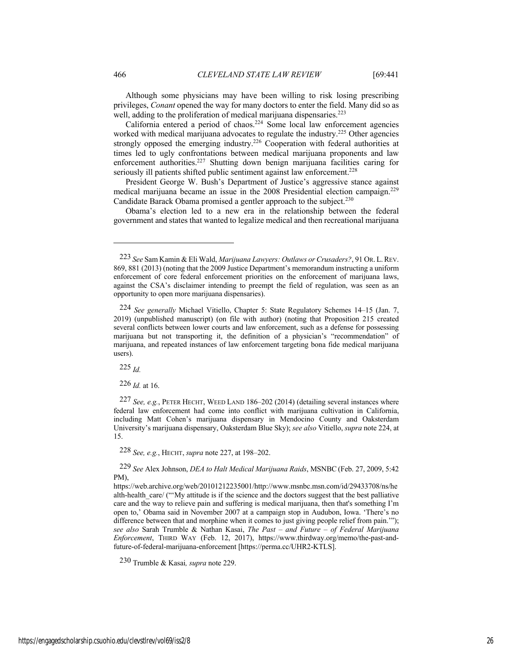Although some physicians may have been willing to risk losing prescribing privileges, *Conant* opened the way for many doctors to enter the field. Many did so as well, adding to the proliferation of medical marijuana dispensaries.<sup>223</sup>

California entered a period of chaos.224 Some local law enforcement agencies worked with medical marijuana advocates to regulate the industry.<sup>225</sup> Other agencies strongly opposed the emerging industry.<sup>226</sup> Cooperation with federal authorities at times led to ugly confrontations between medical marijuana proponents and law enforcement authorities.<sup>227</sup> Shutting down benign marijuana facilities caring for seriously ill patients shifted public sentiment against law enforcement.<sup>228</sup>

President George W. Bush's Department of Justice's aggressive stance against medical marijuana became an issue in the 2008 Presidential election campaign.229 Candidate Barack Obama promised a gentler approach to the subject.<sup>230</sup>

Obama's election led to a new era in the relationship between the federal government and states that wanted to legalize medical and then recreational marijuana

225 *Id.*

226 *Id.* at 16.

227 *See, e.g.*, PETER HECHT, WEED LAND 186–202 (2014) (detailing several instances where federal law enforcement had come into conflict with marijuana cultivation in California, including Matt Cohen's marijuana dispensary in Mendocino County and Oaksterdam University's marijuana dispensary, Oaksterdam Blue Sky); *see also* Vitiello, *supra* note 224, at 15.

228 *See, e.g.*, HECHT, *supra* note 227, at 198–202.

229 *See* Alex Johnson, *DEA to Halt Medical Marijuana Raids*, MSNBC (Feb. 27, 2009, 5:42 PM),

https://web.archive.org/web/20101212235001/http://www.msnbc.msn.com/id/29433708/ns/he alth-health care/ (""My attitude is if the science and the doctors suggest that the best palliative care and the way to relieve pain and suffering is medical marijuana, then that's something I'm open to,' Obama said in November 2007 at a campaign stop in Audubon, Iowa. 'There's no difference between that and morphine when it comes to just giving people relief from pain.'"); *see also* Sarah Trumble & Nathan Kasai, *The Past – and Future – of Federal Marijuana Enforcement*, THIRD WAY (Feb. 12, 2017), https://www.thirdway.org/memo/the-past-andfuture-of-federal-marijuana-enforcement [https://perma.cc/UHR2-KTLS].

230 Trumble & Kasai*, supra* note 229.

<sup>223</sup> *See* Sam Kamin & Eli Wald, *Marijuana Lawyers: Outlaws or Crusaders?*, 91 OR.L.REV. 869, 881 (2013) (noting that the 2009 Justice Department's memorandum instructing a uniform enforcement of core federal enforcement priorities on the enforcement of marijuana laws, against the CSA's disclaimer intending to preempt the field of regulation, was seen as an opportunity to open more marijuana dispensaries).

<sup>224</sup> *See generally* Michael Vitiello, Chapter 5: State Regulatory Schemes 14–15 (Jan. 7, 2019) (unpublished manuscript) (on file with author) (noting that Proposition 215 created several conflicts between lower courts and law enforcement, such as a defense for possessing marijuana but not transporting it, the definition of a physician's "recommendation" of marijuana, and repeated instances of law enforcement targeting bona fide medical marijuana users).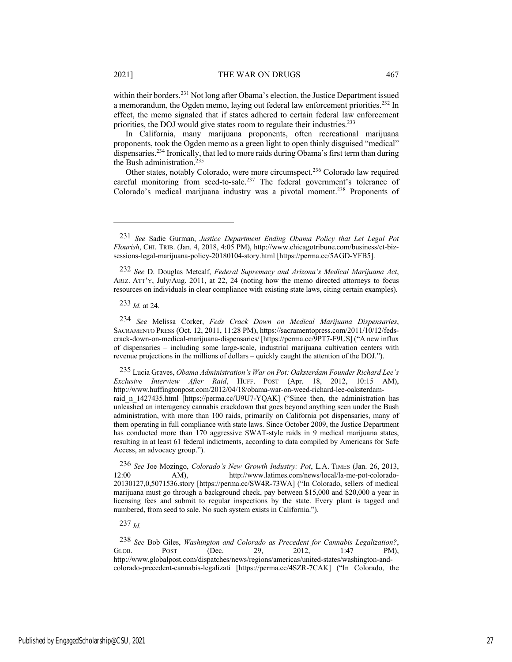within their borders.<sup>231</sup> Not long after Obama's election, the Justice Department issued a memorandum, the Ogden memo, laying out federal law enforcement priorities.232 In effect, the memo signaled that if states adhered to certain federal law enforcement priorities, the DOJ would give states room to regulate their industries.<sup>233</sup>

In California, many marijuana proponents, often recreational marijuana proponents, took the Ogden memo as a green light to open thinly disguised "medical" dispensaries.234 Ironically, that led to more raids during Obama's first term than during the Bush administration.<sup>235</sup>

Other states, notably Colorado, were more circumspect.236 Colorado law required careful monitoring from seed-to-sale.<sup>237</sup> The federal government's tolerance of Colorado's medical marijuana industry was a pivotal moment.<sup>238</sup> Proponents of

232 *See* D. Douglas Metcalf, *Federal Supremacy and Arizona's Medical Marijuana Act*, ARIZ. ATT'Y, July/Aug. 2011, at 22, 24 (noting how the memo directed attorneys to focus resources on individuals in clear compliance with existing state laws, citing certain examples).

233 *Id.* at 24.

234 *See* Melissa Corker, *Feds Crack Down on Medical Marijuana Dispensaries*, SACRAMENTO PRESS (Oct. 12, 2011, 11:28 PM), https://sacramentopress.com/2011/10/12/fedscrack-down-on-medical-marijuana-dispensaries/ [https://perma.cc/9PT7-F9US] ("A new influx of dispensaries – including some large-scale, industrial marijuana cultivation centers with revenue projections in the millions of dollars – quickly caught the attention of the DOJ.").

235 Lucia Graves, *Obama Administration's War on Pot: Oaksterdam Founder Richard Lee's Exclusive Interview After Raid*, HUFF. POST (Apr. 18, 2012, 10:15 AM), http://www.huffingtonpost.com/2012/04/18/obama-war-on-weed-richard-lee-oaksterdamraid n 1427435.html [https://perma.cc/U9U7-YQAK] ("Since then, the administration has unleashed an interagency cannabis crackdown that goes beyond anything seen under the Bush administration, with more than 100 raids, primarily on California pot dispensaries, many of them operating in full compliance with state laws. Since October 2009, the Justice Department has conducted more than 170 aggressive SWAT-style raids in 9 medical marijuana states, resulting in at least 61 federal indictments, according to data compiled by Americans for Safe Access, an advocacy group.").

236 *See* Joe Mozingo, *Colorado's New Growth Industry: Pot*, L.A. TIMES (Jan. 26, 2013, 12:00 AM), http://www.latimes.com/news/local/la-me-pot-colorado-20130127,0,5071536.story [https://perma.cc/SW4R-73WA] ("In Colorado, sellers of medical marijuana must go through a background check, pay between \$15,000 and \$20,000 a year in licensing fees and submit to regular inspections by the state. Every plant is tagged and numbered, from seed to sale. No such system exists in California.").

237 *Id.*

238 *See* Bob Giles, *Washington and Colorado as Precedent for Cannabis Legalization?*, GLOB. POST (Dec. 29, 2012, 1:47 PM), http://www.globalpost.com/dispatches/news/regions/americas/united-states/washington-andcolorado-precedent-cannabis-legalizati [https://perma.cc/4SZR-7CAK] ("In Colorado, the

<sup>231</sup> *See* Sadie Gurman, *Justice Department Ending Obama Policy that Let Legal Pot Flourish*, CHI. TRIB. (Jan. 4, 2018, 4:05 PM), http://www.chicagotribune.com/business/ct-bizsessions-legal-marijuana-policy-20180104-story.html [https://perma.cc/5AGD-YFB5].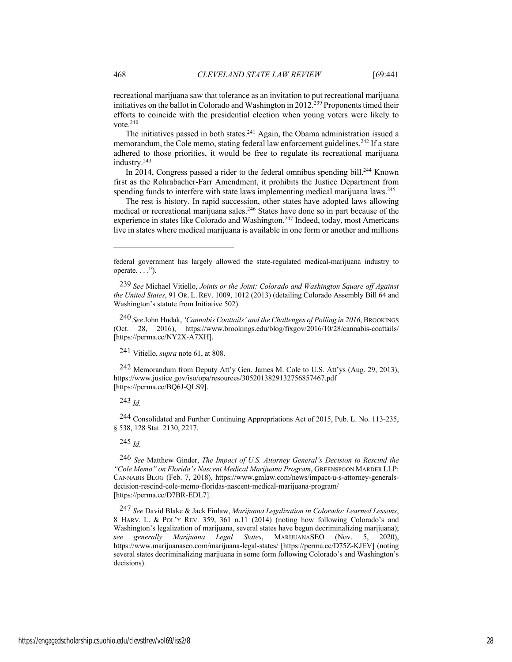recreational marijuana saw that tolerance as an invitation to put recreational marijuana initiatives on the ballot in Colorado and Washington in 2012.239 Proponents timed their efforts to coincide with the presidential election when young voters were likely to vote.<sup>240</sup>

The initiatives passed in both states.<sup>241</sup> Again, the Obama administration issued a memorandum, the Cole memo, stating federal law enforcement guidelines.<sup>242</sup> If a state adhered to those priorities, it would be free to regulate its recreational marijuana industry.243

In 2014, Congress passed a rider to the federal omnibus spending bill.<sup>244</sup> Known first as the Rohrabacher-Farr Amendment, it prohibits the Justice Department from spending funds to interfere with state laws implementing medical marijuana laws.245

The rest is history. In rapid succession, other states have adopted laws allowing medical or recreational marijuana sales.<sup>246</sup> States have done so in part because of the experience in states like Colorado and Washington.<sup>247</sup> Indeed, today, most Americans live in states where medical marijuana is available in one form or another and millions

241 Vitiello, *supra* note 61, at 808.

242 Memorandum from Deputy Att'y Gen. James M. Cole to U.S. Att'ys (Aug. 29, 2013), https://www.justice.gov/iso/opa/resources/3052013829132756857467.pdf [https://perma.cc/BQ6J-QLS9].

243 *Id.*

244 Consolidated and Further Continuing Appropriations Act of 2015, Pub. L. No. 113-235, § 538, 128 Stat. 2130, 2217.

245 *Id.*

246 *See* Matthew Ginder, *The Impact of U.S. Attorney General's Decision to Rescind the "Cole Memo" on Florida's Nascent Medical Marijuana Program*, GREENSPOON MARDER LLP: CANNABIS BLOG (Feb. 7, 2018), https://www.gmlaw.com/news/impact-u-s-attorney-generalsdecision-rescind-cole-memo-floridas-nascent-medical-marijuana-program/ [https://perma.cc/D7BR-EDL7].

247 *See* David Blake & Jack Finlaw, *Marijuana Legalization in Colorado: Learned Lessons*, 8 HARV. L. & POL'Y REV. 359, 361 n.11 (2014) (noting how following Colorado's and Washington's legalization of marijuana, several states have begun decriminalizing marijuana); *see generally Marijuana Legal States*, MARIJUANASEO (Nov. 5, 2020), https://www.marijuanaseo.com/marijuana-legal-states/ [https://perma.cc/D75Z-KJEV] (noting several states decriminalizing marijuana in some form following Colorado's and Washington's decisions).

federal government has largely allowed the state-regulated medical-marijuana industry to operate. . . .").

<sup>239</sup> *See* Michael Vitiello, *Joints or the Joint: Colorado and Washington Square off Against the United States*, 91 OR. L. REV. 1009, 1012 (2013) (detailing Colorado Assembly Bill 64 and Washington's statute from Initiative 502).

<sup>240</sup> *See* John Hudak, *'Cannabis Coattails' and the Challenges of Polling in 2016*, BROOKINGS (Oct. 28, 2016), https://www.brookings.edu/blog/fixgov/2016/10/28/cannabis-coattails/ [https://perma.cc/NY2X-A7XH].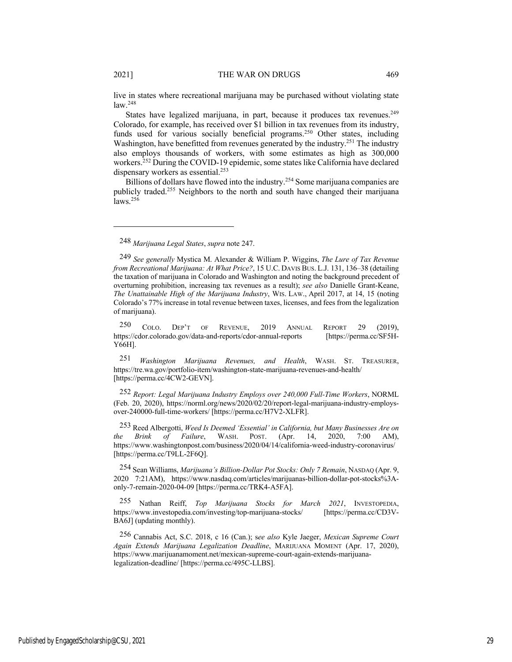live in states where recreational marijuana may be purchased without violating state law.248

States have legalized marijuana, in part, because it produces tax revenues.<sup>249</sup> Colorado, for example, has received over \$1 billion in tax revenues from its industry, funds used for various socially beneficial programs.<sup>250</sup> Other states, including Washington, have benefitted from revenues generated by the industry.<sup>251</sup> The industry also employs thousands of workers, with some estimates as high as 300,000 workers.<sup>252</sup> During the COVID-19 epidemic, some states like California have declared dispensary workers as essential.<sup>253</sup>

Billions of dollars have flowed into the industry.<sup>254</sup> Some marijuana companies are publicly traded.255 Neighbors to the north and south have changed their marijuana  $laws.<sup>256</sup>$ 

250 COLO. DEP'T OF REVENUE, 2019 ANNUAL REPORT 29 (2019), https://cdor.colorado.gov/data-and-reports/cdor-annual-reports [https://perma.cc/SF5H-Y66H].

251 *Washington Marijuana Revenues, and Health*, WASH. ST. TREASURER, https://tre.wa.gov/portfolio-item/washington-state-marijuana-revenues-and-health/ [https://perma.cc/4CW2-GEVN].

252 *Report: Legal Marijuana Industry Employs over 240,000 Full-Time Workers*, NORML (Feb. 20, 2020), https://norml.org/news/2020/02/20/report-legal-marijuana-industry-employsover-240000-full-time-workers/ [https://perma.cc/H7V2-XLFR].

253 Reed Albergotti, *Weed Is Deemed 'Essential' in California, but Many Businesses Are on the Brink of Failure*, WASH. POST. (Apr. 14, 2020, 7:00 AM), https://www.washingtonpost.com/business/2020/04/14/california-weed-industry-coronavirus/ [https://perma.cc/T9LL-2F6Q].

254 Sean Williams, *Marijuana's Billion-Dollar Pot Stocks: Only 7 Remain*, NASDAQ (Apr. 9, 2020 7:21AM), https://www.nasdaq.com/articles/marijuanas-billion-dollar-pot-stocks%3Aonly-7-remain-2020-04-09 [https://perma.cc/TRK4-A5FA].

255 Nathan Reiff, *Top Marijuana Stocks for March 2021*, INVESTOPEDIA, https://www.investopedia.com/investing/top-marijuana-stocks/ [https://perma.cc/CD3V-BA6J] (updating monthly).

256 Cannabis Act, S.C. 2018, c 16 (Can.); s*ee also* Kyle Jaeger, *Mexican Supreme Court Again Extends Marijuana Legalization Deadline*, MARIJUANA MOMENT (Apr. 17, 2020), https://www.marijuanamoment.net/mexican-supreme-court-again-extends-marijuanalegalization-deadline/ [https://perma.cc/495C-LLBS].

<sup>248</sup> *Marijuana Legal States*, *supra* note 247.

<sup>249</sup> *See generally* Mystica M. Alexander & William P. Wiggins, *The Lure of Tax Revenue from Recreational Marijuana: At What Price?*, 15 U.C. DAVIS BUS. L.J. 131, 136–38 (detailing the taxation of marijuana in Colorado and Washington and noting the background precedent of overturning prohibition, increasing tax revenues as a result); *see also* Danielle Grant-Keane, *The Unattainable High of the Marijuana Industry*, WIS. LAW., April 2017, at 14, 15 (noting Colorado's 77% increase in total revenue between taxes, licenses, and fees from the legalization of marijuana).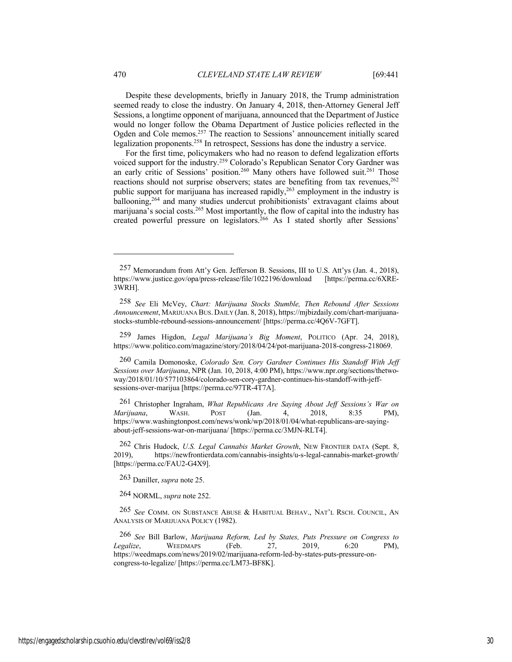Despite these developments, briefly in January 2018, the Trump administration seemed ready to close the industry. On January 4, 2018, then-Attorney General Jeff Sessions, a longtime opponent of marijuana, announced that the Department of Justice would no longer follow the Obama Department of Justice policies reflected in the Ogden and Cole memos.<sup>257</sup> The reaction to Sessions' announcement initially scared legalization proponents.258 In retrospect, Sessions has done the industry a service.

For the first time, policymakers who had no reason to defend legalization efforts voiced support for the industry.<sup>259</sup> Colorado's Republican Senator Cory Gardner was an early critic of Sessions' position.<sup>260</sup> Many others have followed suit.<sup>261</sup> Those reactions should not surprise observers; states are benefiting from tax revenues,<sup>262</sup> public support for marijuana has increased rapidly,<sup>263</sup> employment in the industry is ballooning,264 and many studies undercut prohibitionists' extravagant claims about marijuana's social costs.265 Most importantly, the flow of capital into the industry has created powerful pressure on legislators.<sup>266</sup> As I stated shortly after Sessions'

259 James Higdon, *Legal Marijuana's Big Moment*, POLITICO (Apr. 24, 2018), https://www.politico.com/magazine/story/2018/04/24/pot-marijuana-2018-congress-218069.

263 Daniller, *supra* note 25.

264 NORML, *supra* note 252.

265 *See* COMM. ON SUBSTANCE ABUSE & HABITUAL BEHAV., NAT'L RSCH. COUNCIL, AN ANALYSIS OF MARIJUANA POLICY (1982).

<sup>257</sup> Memorandum from Att'y Gen. Jefferson B. Sessions, III to U.S. Att'ys (Jan. 4., 2018), https://www.justice.gov/opa/press-release/file/1022196/download [https://perma.cc/6XRE-3WRH].

<sup>258</sup> *See* Eli McVey, *Chart: Marijuana Stocks Stumble, Then Rebound After Sessions Announcement*, MARIJUANA BUS. DAILY (Jan. 8, 2018), https://mjbizdaily.com/chart-marijuanastocks-stumble-rebound-sessions-announcement/ [https://perma.cc/4Q6V-7GFT].

<sup>260</sup> Camila Domonoske, *Colorado Sen. Cory Gardner Continues His Standoff With Jeff Sessions over Marijuana*, NPR (Jan. 10, 2018, 4:00 PM), https://www.npr.org/sections/thetwoway/2018/01/10/577103864/colorado-sen-cory-gardner-continues-his-standoff-with-jeffsessions-over-marijua [https://perma.cc/97TR-4T7A].

<sup>261</sup> Christopher Ingraham, *What Republicans Are Saying About Jeff Sessions's War on Marijuana*, WASH. POST (Jan. 4, 2018, 8:35 PM), https://www.washingtonpost.com/news/wonk/wp/2018/01/04/what-republicans-are-sayingabout-jeff-sessions-war-on-marijuana/ [https://perma.cc/3MJN-RLT4].

<sup>262</sup> Chris Hudock, *U.S. Legal Cannabis Market Growth*, NEW FRONTIER DATA (Sept. 8, 2019), https://newfrontierdata.com/cannabis-insights/u-s-legal-cannabis-market-growth/ [https://perma.cc/FAU2-G4X9].

<sup>266</sup> *See* Bill Barlow, *Marijuana Reform, Led by States, Puts Pressure on Congress to Legalize*, WEEDMAPS (Feb. 27, 2019, 6:20 PM), https://weedmaps.com/news/2019/02/marijuana-reform-led-by-states-puts-pressure-oncongress-to-legalize/ [https://perma.cc/LM73-BF8K].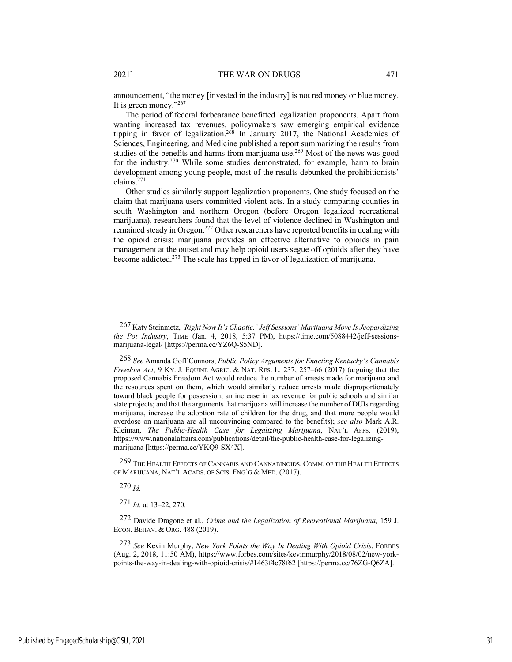announcement, "the money [invested in the industry] is not red money or blue money. It is green money."267

The period of federal forbearance benefitted legalization proponents. Apart from wanting increased tax revenues, policymakers saw emerging empirical evidence tipping in favor of legalization.<sup>268</sup> In January 2017, the National Academies of Sciences, Engineering, and Medicine published a report summarizing the results from studies of the benefits and harms from marijuana use.<sup>269</sup> Most of the news was good for the industry.270 While some studies demonstrated, for example, harm to brain development among young people, most of the results debunked the prohibitionists' claims.271

Other studies similarly support legalization proponents. One study focused on the claim that marijuana users committed violent acts. In a study comparing counties in south Washington and northern Oregon (before Oregon legalized recreational marijuana), researchers found that the level of violence declined in Washington and remained steady in Oregon.<sup>272</sup> Other researchers have reported benefits in dealing with the opioid crisis: marijuana provides an effective alternative to opioids in pain management at the outset and may help opioid users segue off opioids after they have become addicted.273 The scale has tipped in favor of legalization of marijuana.

269 THE HEALTH EFFECTS OF CANNABIS AND CANNABINOIDS, COMM. OF THE HEALTH EFFECTS OF MARIJUANA, NAT'L ACADS. OF SCIS. ENG'G & MED. (2017).

270 *Id.*

271 *Id.* at 13–22, 270.

272 Davide Dragone et al., *Crime and the Legalization of Recreational Marijuana*, 159 J. ECON. BEHAV. & ORG. 488 (2019).

273 *See* Kevin Murphy, *New York Points the Way In Dealing With Opioid Crisis*, FORBES (Aug. 2, 2018, 11:50 AM), https://www.forbes.com/sites/kevinmurphy/2018/08/02/new-yorkpoints-the-way-in-dealing-with-opioid-crisis/#1463f4c78f62 [https://perma.cc/76ZG-Q6ZA].

<sup>267</sup> Katy Steinmetz, *'Right Now It's Chaotic.' Jeff Sessions' Marijuana Move Is Jeopardizing the Pot Industry*, TIME (Jan. 4, 2018, 5:37 PM), https://time.com/5088442/jeff-sessionsmarijuana-legal/ [https://perma.cc/YZ6Q-S5ND].

<sup>268</sup> *See* Amanda Goff Connors, *Public Policy Arguments for Enacting Kentucky's Cannabis Freedom Act*, 9 KY. J. EQUINE AGRIC. & NAT. RES. L. 237, 257–66 (2017) (arguing that the proposed Cannabis Freedom Act would reduce the number of arrests made for marijuana and the resources spent on them, which would similarly reduce arrests made disproportionately toward black people for possession; an increase in tax revenue for public schools and similar state projects; and that the arguments that marijuana will increase the number of DUIs regarding marijuana, increase the adoption rate of children for the drug, and that more people would overdose on marijuana are all unconvincing compared to the benefits); *see also* Mark A.R. Kleiman, *The Public-Health Case for Legalizing Marijuana*, NAT'L AFFS. (2019), https://www.nationalaffairs.com/publications/detail/the-public-health-case-for-legalizingmarijuana [https://perma.cc/YKQ9-SX4X].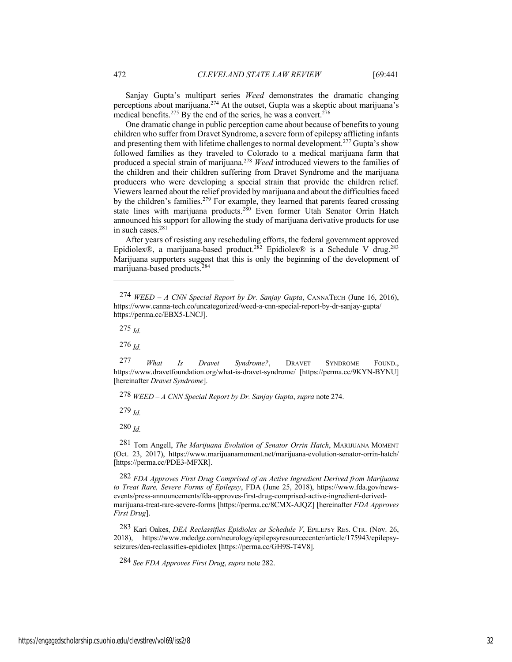Sanjay Gupta's multipart series *Weed* demonstrates the dramatic changing perceptions about marijuana.274 At the outset, Gupta was a skeptic about marijuana's medical benefits.<sup>275</sup> By the end of the series, he was a convert.<sup>276</sup>

One dramatic change in public perception came about because of benefits to young children who suffer from Dravet Syndrome, a severe form of epilepsy afflicting infants and presenting them with lifetime challenges to normal development.277 Gupta's show followed families as they traveled to Colorado to a medical marijuana farm that produced a special strain of marijuana.278 *Weed* introduced viewers to the families of the children and their children suffering from Dravet Syndrome and the marijuana producers who were developing a special strain that provide the children relief. Viewers learned about the relief provided by marijuana and about the difficulties faced by the children's families.<sup>279</sup> For example, they learned that parents feared crossing state lines with marijuana products.<sup>280</sup> Even former Utah Senator Orrin Hatch announced his support for allowing the study of marijuana derivative products for use in such cases.281

After years of resisting any rescheduling efforts, the federal government approved Epidiolex®, a marijuana-based product.<sup>282</sup> Epidiolex® is a Schedule V drug.<sup>283</sup> Marijuana supporters suggest that this is only the beginning of the development of marijuana-based products.284

275 *Id.*

276 *Id.*

277 *What Is Dravet Syndrome?*, DRAVET SYNDROME FOUND., https://www.dravetfoundation.org/what-is-dravet-syndrome/ [https://perma.cc/9KYN-BYNU] [hereinafter *Dravet Syndrome*].

278 *WEED – A CNN Special Report by Dr. Sanjay Gupta*, *supra* note 274.

279 *Id.*

280 *Id.*

281 Tom Angell, *The Marijuana Evolution of Senator Orrin Hatch*, MARIJUANA MOMENT (Oct. 23, 2017), https://www.marijuanamoment.net/marijuana-evolution-senator-orrin-hatch/ [https://perma.cc/PDE3-MFXR].

282 *FDA Approves First Drug Comprised of an Active Ingredient Derived from Marijuana to Treat Rare, Severe Forms of Epilepsy*, FDA (June 25, 2018), https://www.fda.gov/newsevents/press-announcements/fda-approves-first-drug-comprised-active-ingredient-derivedmarijuana-treat-rare-severe-forms [https://perma.cc/8CMX-AJQZ] [hereinafter *FDA Approves First Drug*].

283 Kari Oakes, *DEA Reclassifies Epidiolex as Schedule V*, EPILEPSY RES. CTR. (Nov. 26, 2018), https://www.mdedge.com/neurology/epilepsyresourcecenter/article/175943/epilepsyseizures/dea-reclassifies-epidiolex [https://perma.cc/GH9S-T4V8].

284 *See FDA Approves First Drug*, *supra* note 282.

<sup>274</sup> *WEED – A CNN Special Report by Dr. Sanjay Gupta*, CANNATECH (June 16, 2016), https://www.canna-tech.co/uncategorized/weed-a-cnn-special-report-by-dr-sanjay-gupta/ https://perma.cc/EBX5-LNCJ].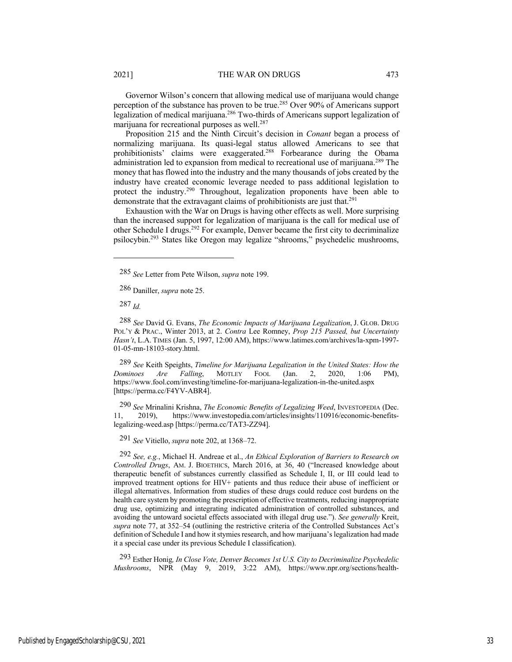Governor Wilson's concern that allowing medical use of marijuana would change perception of the substance has proven to be true.<sup>285</sup> Over 90% of Americans support legalization of medical marijuana.<sup>286</sup> Two-thirds of Americans support legalization of marijuana for recreational purposes as well.<sup>287</sup>

Proposition 215 and the Ninth Circuit's decision in *Conant* began a process of normalizing marijuana. Its quasi-legal status allowed Americans to see that prohibitionists' claims were exaggerated.288 Forbearance during the Obama administration led to expansion from medical to recreational use of marijuana.<sup>289</sup> The money that has flowed into the industry and the many thousands of jobs created by the industry have created economic leverage needed to pass additional legislation to protect the industry.290 Throughout, legalization proponents have been able to demonstrate that the extravagant claims of prohibitionists are just that.<sup>291</sup>

Exhaustion with the War on Drugs is having other effects as well. More surprising than the increased support for legalization of marijuana is the call for medical use of other Schedule I drugs.<sup>292</sup> For example, Denver became the first city to decriminalize psilocybin.293 States like Oregon may legalize "shrooms," psychedelic mushrooms,

287 *Id.*

288 *See* David G. Evans, *The Economic Impacts of Marijuana Legalization*, J. GLOB. DRUG POL'Y & PRAC., Winter 2013, at 2. *Contra* Lee Romney, *Prop 215 Passed, but Uncertainty Hasn't*, L.A. TIMES (Jan. 5, 1997, 12:00 AM), https://www.latimes.com/archives/la-xpm-1997- 01-05-mn-18103-story.html.

289 *See* Keith Speights, *Timeline for Marijuana Legalization in the United States: How the Dominoes Are Falling*, MOTLEY FOOL (Jan. 2, 2020, 1:06 PM), https://www.fool.com/investing/timeline-for-marijuana-legalization-in-the-united.aspx [https://perma.cc/F4YV-ABR4].

290 *See* Mrinalini Krishna, *The Economic Benefits of Legalizing Weed*, INVESTOPEDIA (Dec. 11, 2019), https://www.investopedia.com/articles/insights/110916/economic-benefitslegalizing-weed.asp [https://perma.cc/TAT3-ZZ94].

291 *See* Vitiello, *supra* note 202, at 1368–72.

292 *See, e.g.*, Michael H. Andreae et al., *An Ethical Exploration of Barriers to Research on Controlled Drugs*, AM. J. BIOETHICS, March 2016, at 36, 40 ("Increased knowledge about therapeutic benefit of substances currently classified as Schedule I, II, or III could lead to improved treatment options for HIV+ patients and thus reduce their abuse of inefficient or illegal alternatives. Information from studies of these drugs could reduce cost burdens on the health care system by promoting the prescription of effective treatments, reducing inappropriate drug use, optimizing and integrating indicated administration of controlled substances, and avoiding the untoward societal effects associated with illegal drug use."). *See generally* Kreit, *supra* note 77, at 352–54 (outlining the restrictive criteria of the Controlled Substances Act's definition of Schedule I and how it stymies research, and how marijuana's legalization had made it a special case under its previous Schedule I classification).

293 Esther Honig*, In Close Vote, Denver Becomes 1st U.S. City to Decriminalize Psychedelic Mushrooms*, NPR (May 9, 2019, 3:22 AM), https://www.npr.org/sections/health-

<sup>285</sup> *See* Letter from Pete Wilson, *supra* note 199.

<sup>286</sup> Daniller, *supra* note 25.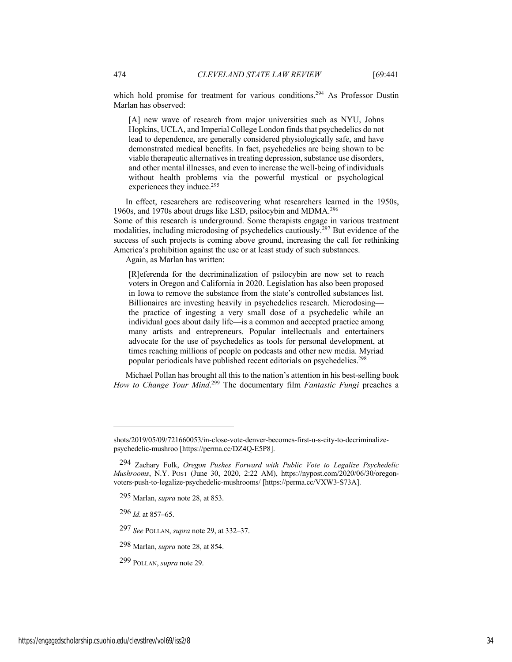which hold promise for treatment for various conditions.<sup>294</sup> As Professor Dustin Marlan has observed:

[A] new wave of research from major universities such as NYU, Johns Hopkins, UCLA, and Imperial College London finds that psychedelics do not lead to dependence, are generally considered physiologically safe, and have demonstrated medical benefits. In fact, psychedelics are being shown to be viable therapeutic alternatives in treating depression, substance use disorders, and other mental illnesses, and even to increase the well-being of individuals without health problems via the powerful mystical or psychological experiences they induce.<sup>295</sup>

In effect, researchers are rediscovering what researchers learned in the 1950s, 1960s, and 1970s about drugs like LSD, psilocybin and MDMA.<sup>296</sup>

Some of this research is underground. Some therapists engage in various treatment modalities, including microdosing of psychedelics cautiously.297 But evidence of the success of such projects is coming above ground, increasing the call for rethinking America's prohibition against the use or at least study of such substances.

Again, as Marlan has written:

[R]eferenda for the decriminalization of psilocybin are now set to reach voters in Oregon and California in 2020. Legislation has also been proposed in Iowa to remove the substance from the state's controlled substances list. Billionaires are investing heavily in psychedelics research. Microdosing the practice of ingesting a very small dose of a psychedelic while an individual goes about daily life—is a common and accepted practice among many artists and entrepreneurs. Popular intellectuals and entertainers advocate for the use of psychedelics as tools for personal development, at times reaching millions of people on podcasts and other new media. Myriad popular periodicals have published recent editorials on psychedelics.298

Michael Pollan has brought all this to the nation's attention in his best-selling book How to Change Your Mind.<sup>299</sup> The documentary film *Fantastic Fungi* preaches a

shots/2019/05/09/721660053/in-close-vote-denver-becomes-first-u-s-city-to-decriminalizepsychedelic-mushroo [https://perma.cc/DZ4Q-E5P8].

<sup>294</sup> Zachary Folk, *Oregon Pushes Forward with Public Vote to Legalize Psychedelic Mushrooms*, N.Y. POST (June 30, 2020, 2:22 AM), https://nypost.com/2020/06/30/oregonvoters-push-to-legalize-psychedelic-mushrooms/ [https://perma.cc/VXW3-S73A].

<sup>295</sup> Marlan, *supra* note 28, at 853.

<sup>296</sup> *Id.* at 857–65.

<sup>297</sup> *See* POLLAN, *supra* note 29, at 332–37.

<sup>298</sup> Marlan, *supra* note 28, at 854.

<sup>299</sup> POLLAN, *supra* note 29.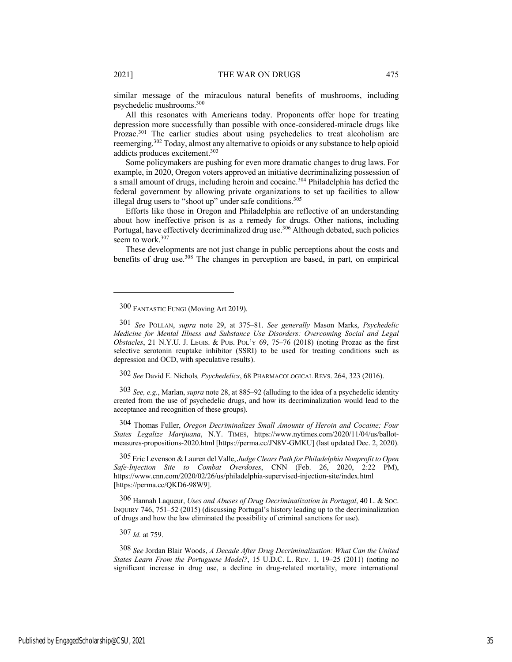similar message of the miraculous natural benefits of mushrooms, including psychedelic mushrooms.300

All this resonates with Americans today. Proponents offer hope for treating depression more successfully than possible with once-considered-miracle drugs like Prozac.<sup>301</sup> The earlier studies about using psychedelics to treat alcoholism are reemerging.302 Today, almost any alternative to opioids or any substance to help opioid addicts produces excitement.303

Some policymakers are pushing for even more dramatic changes to drug laws. For example, in 2020, Oregon voters approved an initiative decriminalizing possession of a small amount of drugs, including heroin and cocaine.<sup>304</sup> Philadelphia has defied the federal government by allowing private organizations to set up facilities to allow illegal drug users to "shoot up" under safe conditions.<sup>305</sup>

Efforts like those in Oregon and Philadelphia are reflective of an understanding about how ineffective prison is as a remedy for drugs. Other nations, including Portugal, have effectively decriminalized drug use.<sup>306</sup> Although debated, such policies seem to work.<sup>307</sup>

These developments are not just change in public perceptions about the costs and benefits of drug use.308 The changes in perception are based, in part, on empirical

302 *See* David E. Nichols*, Psychedelics*, 68 PHARMACOLOGICAL REVS. 264, 323 (2016).

303 *See, e.g.*, Marlan, *supra* note 28, at 885–92 (alluding to the idea of a psychedelic identity created from the use of psychedelic drugs, and how its decriminalization would lead to the acceptance and recognition of these groups).

304 Thomas Fuller, *Oregon Decriminalizes Small Amounts of Heroin and Cocaine; Four States Legalize Marijuana*, N.Y. TIMES, https://www.nytimes.com/2020/11/04/us/ballotmeasures-propositions-2020.html [https://perma.cc/JN8V-GMKU] (last updated Dec. 2, 2020).

305 Eric Levenson & Lauren del Valle, *Judge Clears Path for Philadelphia Nonprofit to Open Safe-Injection Site to Combat Overdoses*, CNN (Feb. 26, 2020, 2:22 PM), https://www.cnn.com/2020/02/26/us/philadelphia-supervised-injection-site/index.html [https://perma.cc/QKD6-98W9].

306 Hannah Laqueur, *Uses and Abuses of Drug Decriminalization in Portugal*, 40 L. & SOC. INQUIRY 746, 751–52 (2015) (discussing Portugal's history leading up to the decriminalization of drugs and how the law eliminated the possibility of criminal sanctions for use).

307 *Id.* at 759.

308 *See* Jordan Blair Woods, *A Decade After Drug Decriminalization: What Can the United States Learn From the Portuguese Model?*, 15 U.D.C. L. REV. 1, 19–25 (2011) (noting no significant increase in drug use, a decline in drug-related mortality, more international

<sup>300</sup> FANTASTIC FUNGI (Moving Art 2019).

<sup>301</sup> *See* POLLAN, *supra* note 29, at 375–81. *See generally* Mason Marks, *Psychedelic Medicine for Mental Illness and Substance Use Disorders: Overcoming Social and Legal Obstacles*, 21 N.Y.U. J. LEGIS. & PUB. POL'Y 69, 75–76 (2018) (noting Prozac as the first selective serotonin reuptake inhibitor (SSRI) to be used for treating conditions such as depression and OCD, with speculative results).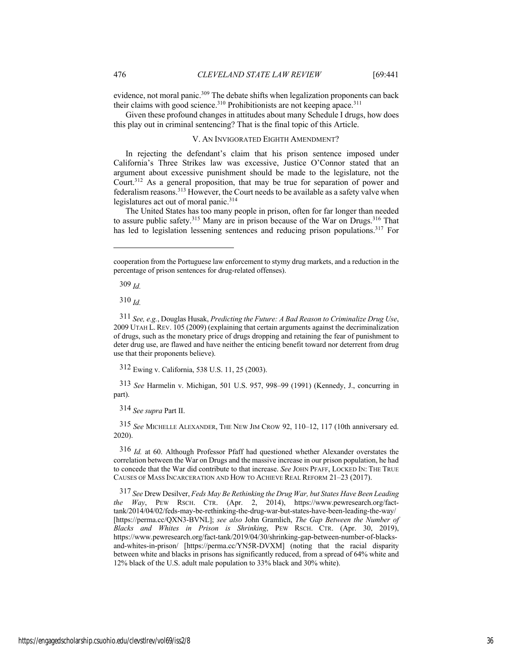evidence, not moral panic.<sup>309</sup> The debate shifts when legalization proponents can back their claims with good science.<sup>310</sup> Prohibitionists are not keeping apace.<sup>311</sup>

Given these profound changes in attitudes about many Schedule I drugs, how does this play out in criminal sentencing? That is the final topic of this Article.

### V. AN INVIGORATED EIGHTH AMENDMENT?

In rejecting the defendant's claim that his prison sentence imposed under California's Three Strikes law was excessive, Justice O'Connor stated that an argument about excessive punishment should be made to the legislature, not the Court.312 As a general proposition, that may be true for separation of power and federalism reasons.313 However, the Court needs to be available as a safety valve when legislatures act out of moral panic.<sup>314</sup>

The United States has too many people in prison, often for far longer than needed to assure public safety.<sup>315</sup> Many are in prison because of the War on Drugs.<sup>316</sup> That has led to legislation lessening sentences and reducing prison populations.<sup>317</sup> For

309 *Id.*

310 *Id.*

312 Ewing v. California, 538 U.S. 11, 25 (2003).

313 *See* Harmelin v. Michigan, 501 U.S. 957, 998–99 (1991) (Kennedy, J., concurring in part).

314 *See supra* Part II.

315 *See* MICHELLE ALEXANDER, THE NEW JIM CROW 92, 110–12, 117 (10th anniversary ed. 2020).

316 *Id.* at 60. Although Professor Pfaff had questioned whether Alexander overstates the correlation between the War on Drugs and the massive increase in our prison population, he had to concede that the War did contribute to that increase. *See* JOHN PFAFF, LOCKED IN: THE TRUE CAUSES OF MASS INCARCERATION AND HOW TO ACHIEVE REAL REFORM 21–23 (2017).

317 *See* Drew Desilver, *Feds May Be Rethinking the Drug War, but States Have Been Leading the Way*, PEW RSCH. CTR. (Apr. 2, 2014), https://www.pewresearch.org/facttank/2014/04/02/feds-may-be-rethinking-the-drug-war-but-states-have-been-leading-the-way/ [https://perma.cc/QXN3-BVNL]; *see also* John Gramlich, *The Gap Between the Number of Blacks and Whites in Prison is Shrinking*, PEW RSCH. CTR. (Apr. 30, 2019), https://www.pewresearch.org/fact-tank/2019/04/30/shrinking-gap-between-number-of-blacksand-whites-in-prison/ [https://perma.cc/YN5R-DVXM] (noting that the racial disparity between white and blacks in prisons has significantly reduced, from a spread of 64% white and 12% black of the U.S. adult male population to 33% black and 30% white).

cooperation from the Portuguese law enforcement to stymy drug markets, and a reduction in the percentage of prison sentences for drug-related offenses).

<sup>311</sup> *See, e.g.*, Douglas Husak, *Predicting the Future: A Bad Reason to Criminalize Drug Use*, 2009 UTAH L. REV. 105 (2009) (explaining that certain arguments against the decriminalization of drugs, such as the monetary price of drugs dropping and retaining the fear of punishment to deter drug use, are flawed and have neither the enticing benefit toward nor deterrent from drug use that their proponents believe).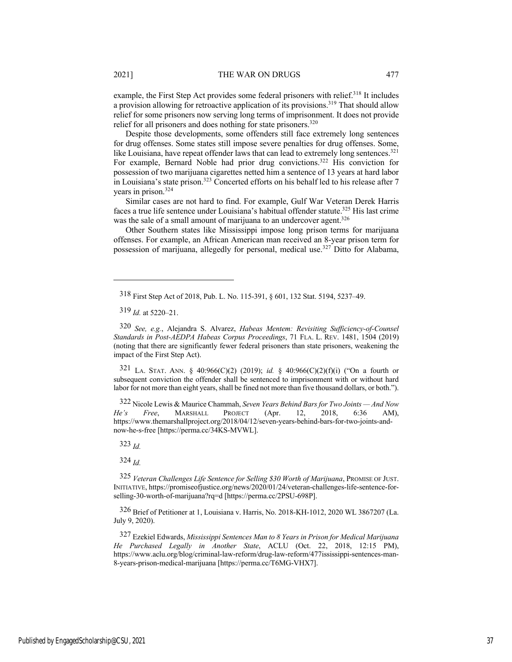example, the First Step Act provides some federal prisoners with relief.<sup>318</sup> It includes a provision allowing for retroactive application of its provisions.319 That should allow relief for some prisoners now serving long terms of imprisonment. It does not provide relief for all prisoners and does nothing for state prisoners.<sup>320</sup>

Despite those developments, some offenders still face extremely long sentences for drug offenses. Some states still impose severe penalties for drug offenses. Some, like Louisiana, have repeat offender laws that can lead to extremely long sentences.<sup>321</sup> For example, Bernard Noble had prior drug convictions.<sup>322</sup> His conviction for possession of two marijuana cigarettes netted him a sentence of 13 years at hard labor in Louisiana's state prison.323 Concerted efforts on his behalf led to his release after 7 years in prison.324

Similar cases are not hard to find. For example, Gulf War Veteran Derek Harris faces a true life sentence under Louisiana's habitual offender statute.325 His last crime was the sale of a small amount of marijuana to an undercover agent.<sup>326</sup>

Other Southern states like Mississippi impose long prison terms for marijuana offenses. For example, an African American man received an 8-year prison term for possession of marijuana, allegedly for personal, medical use.327 Ditto for Alabama,

318 First Step Act of 2018, Pub. L. No. 115-391, § 601, 132 Stat. 5194, 5237–49.

319 *Id.* at 5220–21.

320 *See, e.g.*, Alejandra S. Alvarez, *Habeas Mentem: Revisiting Sufficiency-of-Counsel Standards in Post-AEDPA Habeas Corpus Proceedings*, 71 FLA. L. REV. 1481, 1504 (2019) (noting that there are significantly fewer federal prisoners than state prisoners, weakening the impact of the First Step Act).

321 LA. STAT. ANN. § 40:966(C)(2) (2019); *id.* § 40:966(C)(2)(f)(i) ("On a fourth or subsequent conviction the offender shall be sentenced to imprisonment with or without hard labor for not more than eight years, shall be fined not more than five thousand dollars, or both.").

322 Nicole Lewis & Maurice Chammah, *Seven Years Behind Bars for Two Joints — And Now He's Free*, MARSHALL PROJECT (Apr. 12, 2018, 6:36 AM), https://www.themarshallproject.org/2018/04/12/seven-years-behind-bars-for-two-joints-andnow-he-s-free [https://perma.cc/34KS-MVWL].

323 *Id.*

324 *Id.*

325 *Veteran Challenges Life Sentence for Selling \$30 Worth of Marijuana*, PROMISE OF JUST. INITIATIVE, https://promiseofjustice.org/news/2020/01/24/veteran-challenges-life-sentence-forselling-30-worth-of-marijuana?rq=d [https://perma.cc/2PSU-698P].

326 Brief of Petitioner at 1, Louisiana v. Harris, No. 2018-KH-1012, 2020 WL 3867207 (La. July 9, 2020).

327 Ezekiel Edwards, *Mississippi Sentences Man to 8 Years in Prison for Medical Marijuana He Purchased Legally in Another State*, ACLU (Oct. 22, 2018, 12:15 PM), https://www.aclu.org/blog/criminal-law-reform/drug-law-reform/477ississippi-sentences-man-8-years-prison-medical-marijuana [https://perma.cc/T6MG-VHX7].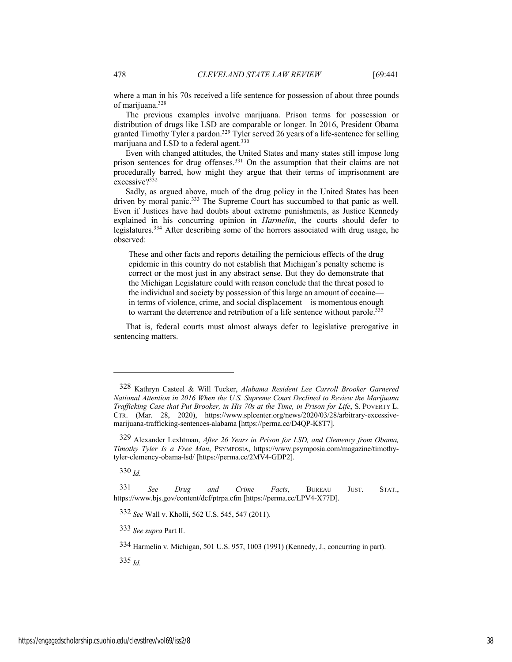where a man in his 70s received a life sentence for possession of about three pounds of marijuana.328

The previous examples involve marijuana. Prison terms for possession or distribution of drugs like LSD are comparable or longer. In 2016, President Obama granted Timothy Tyler a pardon.<sup>329</sup> Tyler served 26 years of a life-sentence for selling marijuana and LSD to a federal agent.<sup>330</sup>

Even with changed attitudes, the United States and many states still impose long prison sentences for drug offenses.<sup>331</sup> On the assumption that their claims are not procedurally barred, how might they argue that their terms of imprisonment are excessive?332

Sadly, as argued above, much of the drug policy in the United States has been driven by moral panic.<sup>333</sup> The Supreme Court has succumbed to that panic as well. Even if Justices have had doubts about extreme punishments, as Justice Kennedy explained in his concurring opinion in *Harmelin*, the courts should defer to legislatures.334 After describing some of the horrors associated with drug usage, he observed:

These and other facts and reports detailing the pernicious effects of the drug epidemic in this country do not establish that Michigan's penalty scheme is correct or the most just in any abstract sense. But they do demonstrate that the Michigan Legislature could with reason conclude that the threat posed to the individual and society by possession of this large an amount of cocaine in terms of violence, crime, and social displacement—is momentous enough to warrant the deterrence and retribution of a life sentence without parole.<sup>335</sup>

That is, federal courts must almost always defer to legislative prerogative in sentencing matters.

330 *Id.*

331 *See Drug and Crime Facts*, BUREAU JUST. STAT., https://www.bjs.gov/content/dcf/ptrpa.cfm [https://perma.cc/LPV4-X77D].

332 *See* Wall v. Kholli, 562 U.S. 545, 547 (2011).

333 *See supra* Part II.

334 Harmelin v. Michigan, 501 U.S. 957, 1003 (1991) (Kennedy, J., concurring in part).

335 *Id.*

<sup>328</sup> Kathryn Casteel & Will Tucker, *Alabama Resident Lee Carroll Brooker Garnered National Attention in 2016 When the U.S. Supreme Court Declined to Review the Marijuana Trafficking Case that Put Brooker, in His 70s at the Time, in Prison for Life*, S. POVERTY L. CTR. (Mar. 28, 2020), https://www.splcenter.org/news/2020/03/28/arbitrary-excessivemarijuana-trafficking-sentences-alabama [https://perma.cc/D4QP-K8T7].

<sup>329</sup> Alexander Lexhtman, *After 26 Years in Prison for LSD, and Clemency from Obama, Timothy Tyler Is a Free Man*, PSYMPOSIA, https://www.psymposia.com/magazine/timothytyler-clemency-obama-lsd/ [https://perma.cc/2MV4-GDP2].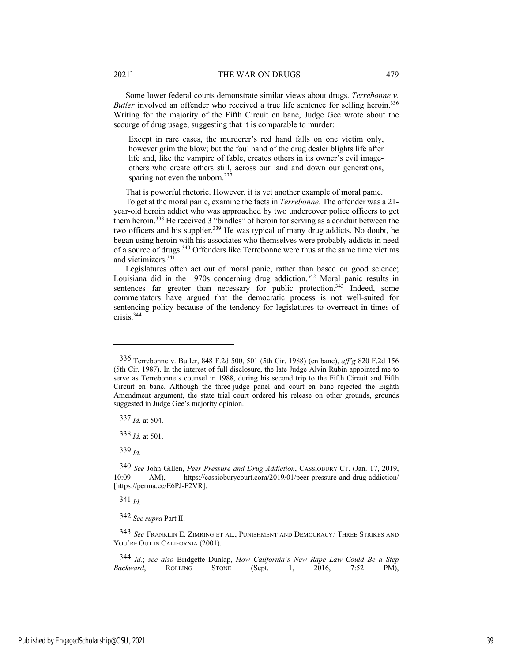Except in rare cases, the murderer's red hand falls on one victim only, however grim the blow; but the foul hand of the drug dealer blights life after life and, like the vampire of fable, creates others in its owner's evil imageothers who create others still, across our land and down our generations, sparing not even the unborn.<sup>337</sup>

That is powerful rhetoric. However, it is yet another example of moral panic.

To get at the moral panic, examine the facts in *Terrebonne*. The offender was a 21 year-old heroin addict who was approached by two undercover police officers to get them heroin.338 He received 3 "bindles" of heroin for serving as a conduit between the two officers and his supplier.<sup>339</sup> He was typical of many drug addicts. No doubt, he began using heroin with his associates who themselves were probably addicts in need of a source of drugs.340 Offenders like Terrebonne were thus at the same time victims and victimizers.341

Legislatures often act out of moral panic, rather than based on good science; Louisiana did in the 1970s concerning drug addiction.<sup>342</sup> Moral panic results in sentences far greater than necessary for public protection.<sup>343</sup> Indeed, some commentators have argued that the democratic process is not well-suited for sentencing policy because of the tendency for legislatures to overreact in times of crisis.344

337 *Id.* at 504.

338 *Id.* at 501.

339 *Id.*

341 *Id.*

342 *See supra* Part II.

<sup>336</sup> Terrebonne v. Butler, 848 F.2d 500, 501 (5th Cir. 1988) (en banc), *aff'g* 820 F.2d 156 (5th Cir. 1987). In the interest of full disclosure, the late Judge Alvin Rubin appointed me to serve as Terrebonne's counsel in 1988, during his second trip to the Fifth Circuit and Fifth Circuit en banc. Although the three-judge panel and court en banc rejected the Eighth Amendment argument, the state trial court ordered his release on other grounds, grounds suggested in Judge Gee's majority opinion.

<sup>340</sup> *See* John Gillen, *Peer Pressure and Drug Addiction*, CASSIOBURY CT. (Jan. 17, 2019, AM), https://cassioburycourt.com/2019/01/peer-pressure-and-drug-addiction/ [https://perma.cc/E6PJ-F2VR].

<sup>343</sup> *See* FRANKLIN E. ZIMRING ET AL., PUNISHMENT AND DEMOCRACY*:* THREE STRIKES AND YOU'RE OUT IN CALIFORNIA (2001).

<sup>344</sup> *Id.*; *see also* Bridgette Dunlap, *How California's New Rape Law Could Be a Step Backward*, ROLLING STONE (Sept. 1, 2016, 7:52 PM),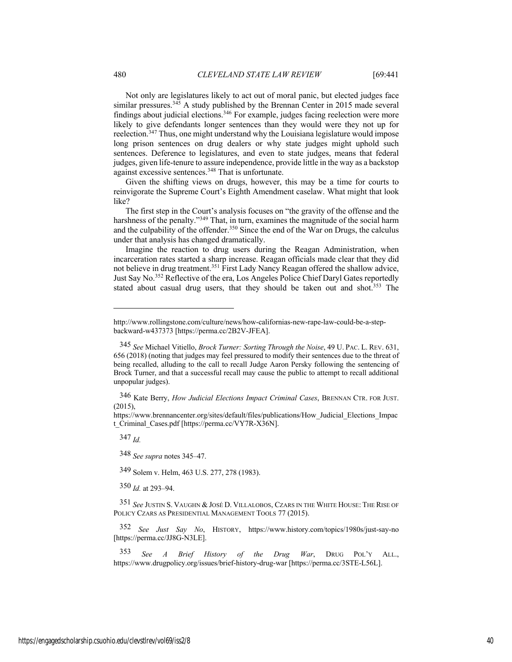Not only are legislatures likely to act out of moral panic, but elected judges face similar pressures.<sup>345</sup> A study published by the Brennan Center in 2015 made several findings about judicial elections.346 For example, judges facing reelection were more likely to give defendants longer sentences than they would were they not up for reelection.347 Thus, one might understand why the Louisiana legislature would impose long prison sentences on drug dealers or why state judges might uphold such sentences. Deference to legislatures, and even to state judges, means that federal judges, given life-tenure to assure independence, provide little in the way as a backstop against excessive sentences.<sup>348</sup> That is unfortunate.

Given the shifting views on drugs, however, this may be a time for courts to reinvigorate the Supreme Court's Eighth Amendment caselaw. What might that look like?

The first step in the Court's analysis focuses on "the gravity of the offense and the harshness of the penalty."<sup>349</sup> That, in turn, examines the magnitude of the social harm and the culpability of the offender.<sup>350</sup> Since the end of the War on Drugs, the calculus under that analysis has changed dramatically.

Imagine the reaction to drug users during the Reagan Administration, when incarceration rates started a sharp increase. Reagan officials made clear that they did not believe in drug treatment.351 First Lady Nancy Reagan offered the shallow advice, Just Say No.352 Reflective of the era, Los Angeles Police Chief Daryl Gates reportedly stated about casual drug users, that they should be taken out and shot.<sup>353</sup> The

346 Kate Berry, *How Judicial Elections Impact Criminal Cases*, BRENNAN CTR. FOR JUST.  $(2015)$ ,

https://www.brennancenter.org/sites/default/files/publications/How\_Judicial\_Elections\_Impac t\_Criminal\_Cases.pdf [https://perma.cc/VY7R-X36N].

347 *Id.*

348 *See supra* notes 345–47.

349 Solem v. Helm, 463 U.S. 277, 278 (1983).

350 *Id.* at 293–94.

351 *See* JUSTIN S. VAUGHN & JOSÉ D. VILLALOBOS, CZARS IN THE WHITE HOUSE: THE RISE OF POLICY CZARS AS PRESIDENTIAL MANAGEMENT TOOLS 77 (2015).

352 *See Just Say No*, HISTORY, https://www.history.com/topics/1980s/just-say-no [https://perma.cc/JJ8G-N3LE].

353 *See A Brief History of the Drug War*, DRUG POL'Y ALL., https://www.drugpolicy.org/issues/brief-history-drug-war [https://perma.cc/3STE-L56L].

http://www.rollingstone.com/culture/news/how-californias-new-rape-law-could-be-a-stepbackward-w437373 [https://perma.cc/2B2V-JFEA].

<sup>345</sup> *See* Michael Vitiello, *Brock Turner: Sorting Through the Noise*, 49 U. PAC. L. REV. 631, 656 (2018) (noting that judges may feel pressured to modify their sentences due to the threat of being recalled, alluding to the call to recall Judge Aaron Persky following the sentencing of Brock Turner, and that a successful recall may cause the public to attempt to recall additional unpopular judges).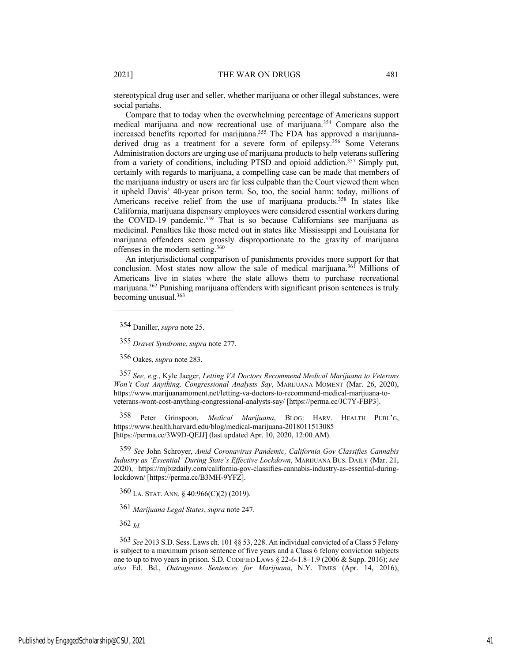stereotypical drug user and seller, whether marijuana or other illegal substances, were social pariahs.

Compare that to today when the overwhelming percentage of Americans support medical marijuana and now recreational use of marijuana.354 Compare also the increased benefits reported for marijuana.<sup>355</sup> The FDA has approved a marijuanaderived drug as a treatment for a severe form of epilepsy.356 Some Veterans Administration doctors are urging use of marijuana products to help veterans suffering from a variety of conditions, including PTSD and opioid addiction.<sup>357</sup> Simply put, certainly with regards to marijuana, a compelling case can be made that members of the marijuana industry or users are far less culpable than the Court viewed them when it upheld Davis' 40-year prison term. So, too, the social harm: today, millions of Americans receive relief from the use of marijuana products.<sup>358</sup> In states like California, marijuana dispensary employees were considered essential workers during the COVID-19 pandemic.<sup>359</sup> That is so because Californians see marijuana as medicinal. Penalties like those meted out in states like Mississippi and Louisiana for marijuana offenders seem grossly disproportionate to the gravity of marijuana offenses in the modern setting.360

An interjurisdictional comparison of punishments provides more support for that conclusion. Most states now allow the sale of medical marijuana.<sup>361</sup> Millions of Americans live in states where the state allows them to purchase recreational marijuana.362 Punishing marijuana offenders with significant prison sentences is truly becoming unusual.363

354 Daniller, *supra* note 25.

356 Oakes, *supra* note 283.

357 *See, e.g.*, Kyle Jaeger, *Letting VA Doctors Recommend Medical Marijuana to Veterans Won't Cost Anything, Congressional Analysts Say*, MARIJUANA MOMENT (Mar. 26, 2020), https://www.marijuanamoment.net/letting-va-doctors-to-recommend-medical-marijuana-toveterans-wont-cost-anything-congressional-analysts-say/ [https://perma.cc/JC7Y-FBP3].

358 Peter Grinspoon, *Medical Marijuana*, BLOG: HARV. HEALTH PUBL'G, https://www.health.harvard.edu/blog/medical-marijuana-2018011513085 [https://perma.cc/3W9D-QEJJ] (last updated Apr. 10, 2020, 12:00 AM).

359 *See* John Schroyer, *Amid Coronavirus Pandemic, California Gov Classifies Cannabis Industry as 'Essential' During State's Effective Lockdown*, MARIJUANA BUS. DAILY (Mar. 21, 2020), https://mjbizdaily.com/california-gov-classifies-cannabis-industry-as-essential-duringlockdown/ [https://perma.cc/B3MH-9YFZ].

360 LA. STAT. ANN. § 40:966(C)(2) (2019).

361 *Marijuana Legal States*, *supra* note 247.

362 *Id.*

363 *See* 2013 S.D. Sess. Laws ch. 101 §§ 53, 228. An individual convicted of a Class 5 Felony is subject to a maximum prison sentence of five years and a Class 6 felony conviction subjects one to up to two years in prison. S.D. CODIFIED LAWS § 22-6-1.8–1.9 (2006 & Supp. 2016); *see also* Ed. Bd., *Outrageous Sentences for Marijuana*, N.Y. TIMES (Apr. 14, 2016),

<sup>355</sup> *Dravet Syndrome*, *supra* note 277.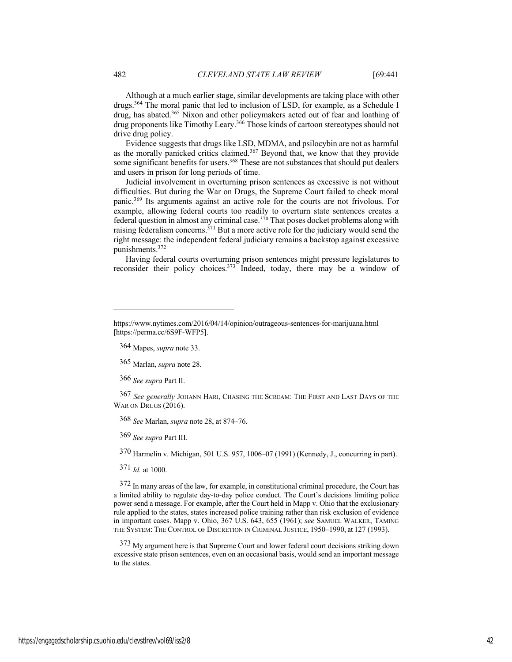Although at a much earlier stage, similar developments are taking place with other drugs.364 The moral panic that led to inclusion of LSD, for example, as a Schedule I drug, has abated.<sup>365</sup> Nixon and other policymakers acted out of fear and loathing of drug proponents like Timothy Leary.366 Those kinds of cartoon stereotypes should not drive drug policy.

Evidence suggests that drugs like LSD, MDMA, and psilocybin are not as harmful as the morally panicked critics claimed.367 Beyond that, we know that they provide some significant benefits for users.<sup>368</sup> These are not substances that should put dealers and users in prison for long periods of time.

Judicial involvement in overturning prison sentences as excessive is not without difficulties. But during the War on Drugs, the Supreme Court failed to check moral panic.369 Its arguments against an active role for the courts are not frivolous. For example, allowing federal courts too readily to overturn state sentences creates a federal question in almost any criminal case.<sup>370</sup> That poses docket problems along with raising federalism concerns. $371$  But a more active role for the judiciary would send the right message: the independent federal judiciary remains a backstop against excessive punishments.372

Having federal courts overturning prison sentences might pressure legislatures to reconsider their policy choices.<sup>373</sup> Indeed, today, there may be a window of

364 Mapes, *supra* note 33.

365 Marlan, *supra* note 28.

366 *See supra* Part II.

367 *See generally* JOHANN HARI, CHASING THE SCREAM: THE FIRST AND LAST DAYS OF THE WAR ON DRUGS (2016).

368 *See* Marlan, *supra* note 28, at 874–76.

369 *See supra* Part III.

370 Harmelin v. Michigan, 501 U.S. 957, 1006–07 (1991) (Kennedy, J., concurring in part).

371 *Id.* at 1000.

372 In many areas of the law, for example, in constitutional criminal procedure, the Court has a limited ability to regulate day-to-day police conduct. The Court's decisions limiting police power send a message. For example, after the Court held in Mapp v. Ohio that the exclusionary rule applied to the states, states increased police training rather than risk exclusion of evidence in important cases. Mapp v. Ohio, 367 U.S. 643, 655 (1961); *see* SAMUEL WALKER, TAMING THE SYSTEM: THE CONTROL OF DISCRETION IN CRIMINAL JUSTICE, 1950–1990, at 127 (1993).

373 My argument here is that Supreme Court and lower federal court decisions striking down excessive state prison sentences, even on an occasional basis, would send an important message to the states.

https://www.nytimes.com/2016/04/14/opinion/outrageous-sentences-for-marijuana.html [https://perma.cc/6S9F-WFP5].